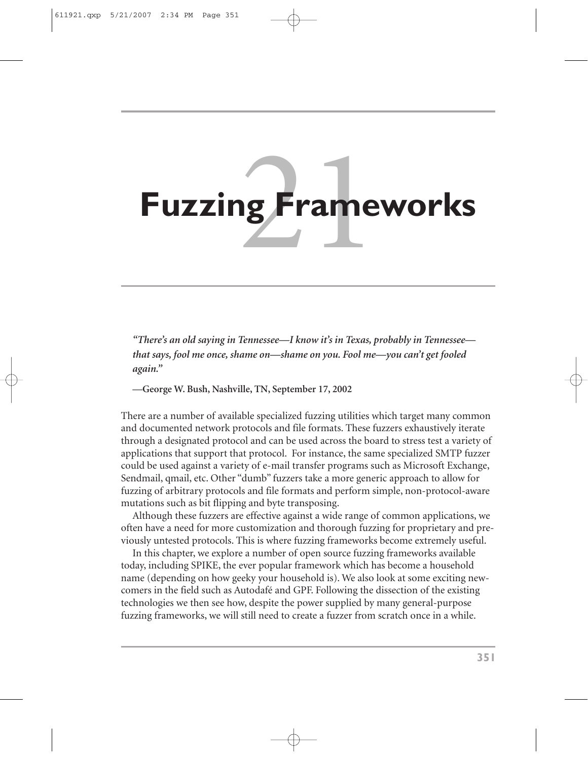# g Frame **Fuzzing Frameworks**

*"There's an old saying in Tennessee***—***I know it's in Texas, probably in Tennessee* *that says, fool me once, shame on***—***shame on you. Fool me***—***you can't get fooled again."*

**—George W. Bush, Nashville, TN, September 17, 2002**

There are a number of available specialized fuzzing utilities which target many common and documented network protocols and file formats. These fuzzers exhaustively iterate through a designated protocol and can be used across the board to stress test a variety of applications that support that protocol. For instance, the same specialized SMTP fuzzer could be used against a variety of e-mail transfer programs such as Microsoft Exchange, Sendmail, qmail, etc. Other "dumb" fuzzers take a more generic approach to allow for fuzzing of arbitrary protocols and file formats and perform simple, non-protocol-aware mutations such as bit flipping and byte transposing.

Although these fuzzers are effective against a wide range of common applications, we often have a need for more customization and thorough fuzzing for proprietary and previously untested protocols. This is where fuzzing frameworks become extremely useful.

In this chapter, we explore a number of open source fuzzing frameworks available today, including SPIKE, the ever popular framework which has become a household name (depending on how geeky your household is). We also look at some exciting newcomers in the field such as Autodafé and GPF. Following the dissection of the existing technologies we then see how, despite the power supplied by many general-purpose fuzzing frameworks, we will still need to create a fuzzer from scratch once in a while.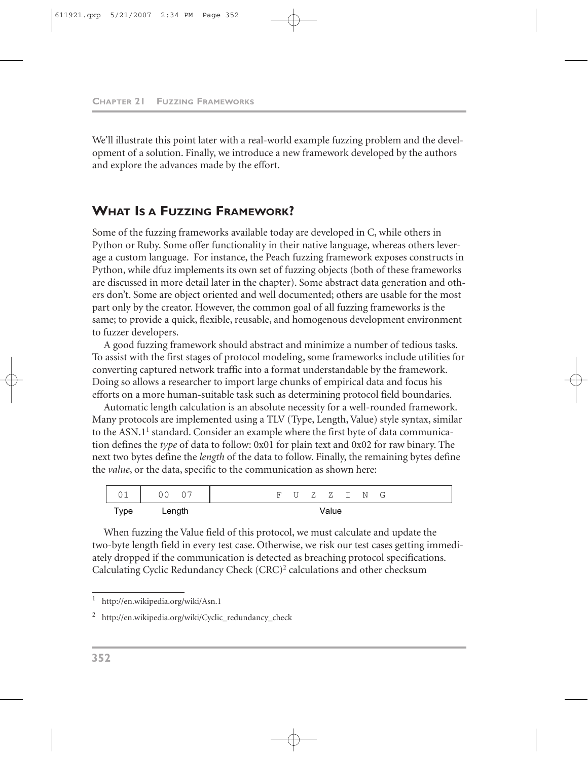We'll illustrate this point later with a real-world example fuzzing problem and the development of a solution. Finally, we introduce a new framework developed by the authors and explore the advances made by the effort.

# **WHAT IS A FUZZING FRAMEWORK?**

Some of the fuzzing frameworks available today are developed in C, while others in Python or Ruby. Some offer functionality in their native language, whereas others leverage a custom language. For instance, the Peach fuzzing framework exposes constructs in Python, while dfuz implements its own set of fuzzing objects (both of these frameworks are discussed in more detail later in the chapter). Some abstract data generation and others don't. Some are object oriented and well documented; others are usable for the most part only by the creator. However, the common goal of all fuzzing frameworks is the same; to provide a quick, flexible, reusable, and homogenous development environment to fuzzer developers.

A good fuzzing framework should abstract and minimize a number of tedious tasks. To assist with the first stages of protocol modeling, some frameworks include utilities for converting captured network traffic into a format understandable by the framework. Doing so allows a researcher to import large chunks of empirical data and focus his efforts on a more human-suitable task such as determining protocol field boundaries.

Automatic length calculation is an absolute necessity for a well-rounded framework. Many protocols are implemented using a TLV (Type, Length, Value) style syntax, similar to the ASN.1 $<sup>1</sup>$  standard. Consider an example where the first byte of data communica-</sup> tion defines the *type* of data to follow: 0x01 for plain text and 0x02 for raw binary. The next two bytes define the *length* of the data to follow. Finally, the remaining bytes define the *value*, or the data, specific to the communication as shown here:

|      |        |  | FUZZING |  |  |  |
|------|--------|--|---------|--|--|--|
| Type | Length |  | Value   |  |  |  |

When fuzzing the Value field of this protocol, we must calculate and update the two-byte length field in every test case. Otherwise, we risk our test cases getting immediately dropped if the communication is detected as breaching protocol specifications. Calculating Cyclic Redundancy Check (CRC)<sup>2</sup> calculations and other checksum

<sup>1</sup> http://en.wikipedia.org/wiki/Asn.1

<sup>2</sup> http://en.wikipedia.org/wiki/Cyclic\_redundancy\_check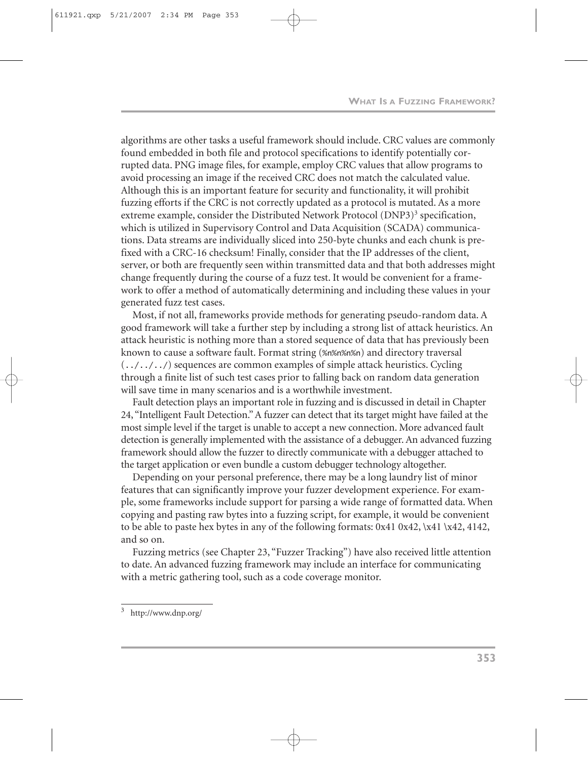algorithms are other tasks a useful framework should include. CRC values are commonly found embedded in both file and protocol specifications to identify potentially corrupted data. PNG image files, for example, employ CRC values that allow programs to avoid processing an image if the received CRC does not match the calculated value. Although this is an important feature for security and functionality, it will prohibit fuzzing efforts if the CRC is not correctly updated as a protocol is mutated. As a more extreme example, consider the Distributed Network Protocol (DNP3)<sup>3</sup> specification, which is utilized in Supervisory Control and Data Acquisition (SCADA) communications. Data streams are individually sliced into 250-byte chunks and each chunk is prefixed with a CRC-16 checksum! Finally, consider that the IP addresses of the client, server, or both are frequently seen within transmitted data and that both addresses might change frequently during the course of a fuzz test. It would be convenient for a framework to offer a method of automatically determining and including these values in your generated fuzz test cases.

Most, if not all, frameworks provide methods for generating pseudo-random data. A good framework will take a further step by including a strong list of attack heuristics. An attack heuristic is nothing more than a stored sequence of data that has previously been known to cause a software fault. Format string (%n%n%n%n) and directory traversal  $(.,/.,/.,/)$  sequences are common examples of simple attack heuristics. Cycling through a finite list of such test cases prior to falling back on random data generation will save time in many scenarios and is a worthwhile investment.

Fault detection plays an important role in fuzzing and is discussed in detail in Chapter 24, "Intelligent Fault Detection." A fuzzer can detect that its target might have failed at the most simple level if the target is unable to accept a new connection. More advanced fault detection is generally implemented with the assistance of a debugger. An advanced fuzzing framework should allow the fuzzer to directly communicate with a debugger attached to the target application or even bundle a custom debugger technology altogether.

Depending on your personal preference, there may be a long laundry list of minor features that can significantly improve your fuzzer development experience. For example, some frameworks include support for parsing a wide range of formatted data. When copying and pasting raw bytes into a fuzzing script, for example, it would be convenient to be able to paste hex bytes in any of the following formats:  $0x41 0x42$ ,  $x41 \x42$ ,  $4142$ , and so on.

Fuzzing metrics (see Chapter 23, "Fuzzer Tracking") have also received little attention to date. An advanced fuzzing framework may include an interface for communicating with a metric gathering tool, such as a code coverage monitor.

<sup>3</sup> http://www.dnp.org/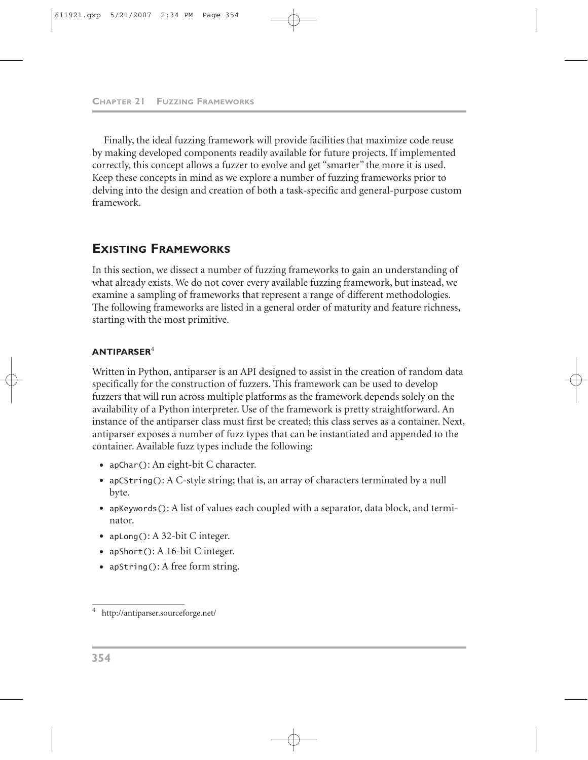Finally, the ideal fuzzing framework will provide facilities that maximize code reuse by making developed components readily available for future projects. If implemented correctly, this concept allows a fuzzer to evolve and get "smarter" the more it is used. Keep these concepts in mind as we explore a number of fuzzing frameworks prior to delving into the design and creation of both a task-specific and general-purpose custom framework.

# **EXISTING FRAMEWORKS**

In this section, we dissect a number of fuzzing frameworks to gain an understanding of what already exists. We do not cover every available fuzzing framework, but instead, we examine a sampling of frameworks that represent a range of different methodologies. The following frameworks are listed in a general order of maturity and feature richness, starting with the most primitive.

#### **ANTIPARSER**<sup>4</sup>

Written in Python, antiparser is an API designed to assist in the creation of random data specifically for the construction of fuzzers. This framework can be used to develop fuzzers that will run across multiple platforms as the framework depends solely on the availability of a Python interpreter. Use of the framework is pretty straightforward. An instance of the antiparser class must first be created; this class serves as a container. Next, antiparser exposes a number of fuzz types that can be instantiated and appended to the container. Available fuzz types include the following:

- apChar(): An eight-bit C character.
- apCString(): A C-style string; that is, an array of characters terminated by a null byte.
- apKeywords(): A list of values each coupled with a separator, data block, and terminator.
- apLong():  $A$  32-bit C integer.
- apShort(): A 16-bit C integer.
- apString(): A free form string.

<sup>4</sup> http://antiparser.sourceforge.net/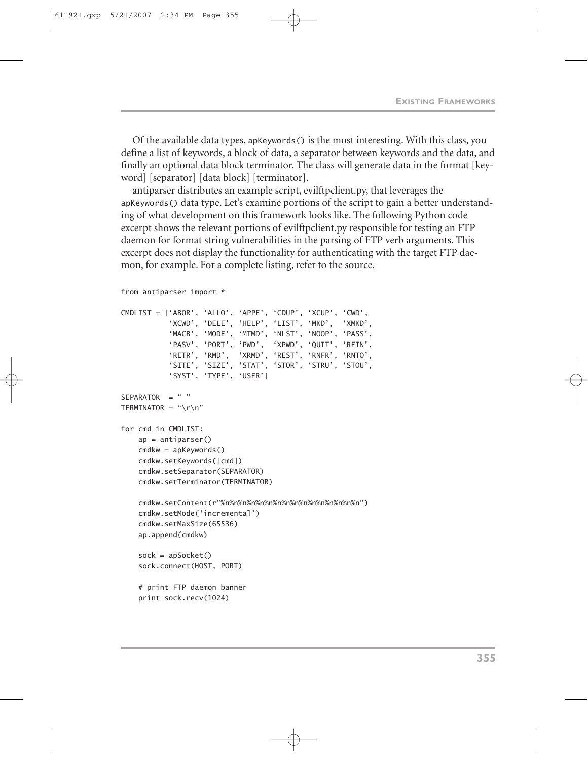Of the available data types, apKeywords() is the most interesting. With this class, you define a list of keywords, a block of data, a separator between keywords and the data, and finally an optional data block terminator. The class will generate data in the format [keyword] [separator] [data block] [terminator].

antiparser distributes an example script, evilftpclient.py, that leverages the apKeywords() data type. Let's examine portions of the script to gain a better understanding of what development on this framework looks like. The following Python code excerpt shows the relevant portions of evilftpclient.py responsible for testing an FTP daemon for format string vulnerabilities in the parsing of FTP verb arguments. This excerpt does not display the functionality for authenticating with the target FTP daemon, for example. For a complete listing, refer to the source.

```
from antiparser import *
CMDLIST = ['ABOR', 'ALLO', 'APPE', 'CDUP', 'XCUP', 'CWD',
           'XCWD', 'DELE', 'HELP', 'LIST', 'MKD', 'XMKD',
           'MACB', 'MODE', 'MTMD', 'NLST', 'NOOP', 'PASS',
           'PASV', 'PORT', 'PWD', 'XPWD', 'QUIT', 'REIN',
           'RETR', 'RMD', 'XRMD', 'REST', 'RNFR', 'RNTO',
           'SITE', 'SIZE', 'STAT', 'STOR', 'STRU', 'STOU',
           'SYST', 'TYPE', 'USER']
SEPARATOR = ""
TERMINATOR = "\\ r\\ n"for cmd in CMDLIST:
    ap = antiparser()cmdkw = apKeywords()
    cmdkw.setKeywords([cmd])
    cmdkw.setSeparator(SEPARATOR)
    cmdkw.setTerminator(TERMINATOR)
    cmdkw.setContent(r"%n%n%n%n%n%n%n%n%n%n%n%n%n%n%n%n")
    cmdkw.setMode('incremental')
    cmdkw.setMaxSize(65536)
    ap.append(cmdkw)
    sock = apSocket()sock.connect(HOST, PORT)
    # print FTP daemon banner
    print sock.recv(1024)
```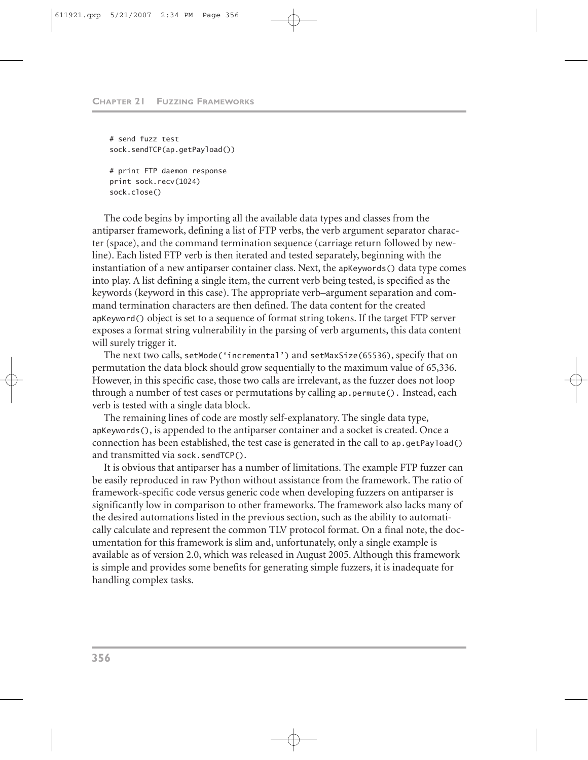```
# send fuzz test
sock.sendTCP(ap.getPayload())
# print FTP daemon response
print sock.recv(1024)
sock.close()
```
The code begins by importing all the available data types and classes from the antiparser framework, defining a list of FTP verbs, the verb argument separator character (space), and the command termination sequence (carriage return followed by newline). Each listed FTP verb is then iterated and tested separately, beginning with the instantiation of a new antiparser container class. Next, the apKeywords() data type comes into play. A list defining a single item, the current verb being tested, is specified as the keywords (keyword in this case). The appropriate verb–argument separation and command termination characters are then defined. The data content for the created apKeyword() object is set to a sequence of format string tokens. If the target FTP server exposes a format string vulnerability in the parsing of verb arguments, this data content will surely trigger it.

The next two calls, setMode('incremental') and setMaxSize(65536), specify that on permutation the data block should grow sequentially to the maximum value of 65,336. However, in this specific case, those two calls are irrelevant, as the fuzzer does not loop through a number of test cases or permutations by calling ap.permute(). Instead, each verb is tested with a single data block.

The remaining lines of code are mostly self-explanatory. The single data type, apKeywords(), is appended to the antiparser container and a socket is created. Once a connection has been established, the test case is generated in the call to ap.getPayload() and transmitted via sock.sendTCP().

It is obvious that antiparser has a number of limitations. The example FTP fuzzer can be easily reproduced in raw Python without assistance from the framework. The ratio of framework-specific code versus generic code when developing fuzzers on antiparser is significantly low in comparison to other frameworks. The framework also lacks many of the desired automations listed in the previous section, such as the ability to automatically calculate and represent the common TLV protocol format. On a final note, the documentation for this framework is slim and, unfortunately, only a single example is available as of version 2.0, which was released in August 2005. Although this framework is simple and provides some benefits for generating simple fuzzers, it is inadequate for handling complex tasks.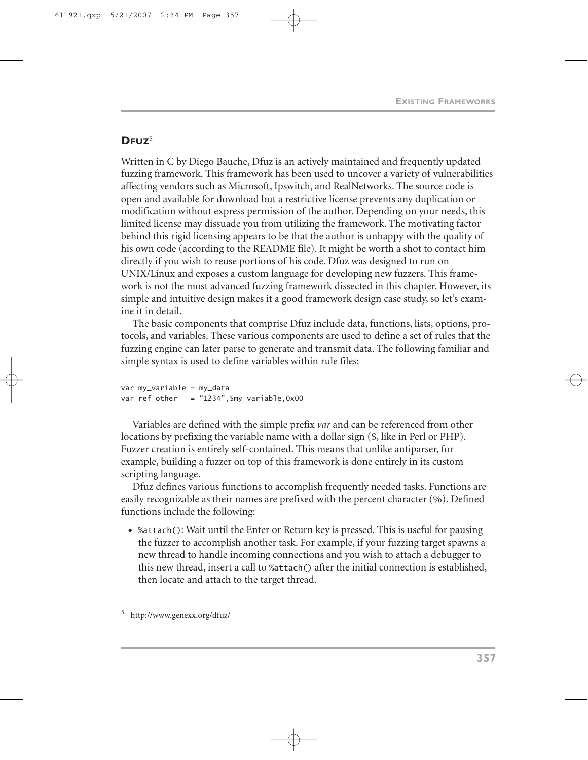# **DFUZ**<sup>5</sup>

Written in C by Diego Bauche, Dfuz is an actively maintained and frequently updated fuzzing framework. This framework has been used to uncover a variety of vulnerabilities affecting vendors such as Microsoft, Ipswitch, and RealNetworks. The source code is open and available for download but a restrictive license prevents any duplication or modification without express permission of the author. Depending on your needs, this limited license may dissuade you from utilizing the framework. The motivating factor behind this rigid licensing appears to be that the author is unhappy with the quality of his own code (according to the README file). It might be worth a shot to contact him directly if you wish to reuse portions of his code. Dfuz was designed to run on UNIX/Linux and exposes a custom language for developing new fuzzers. This framework is not the most advanced fuzzing framework dissected in this chapter. However, its simple and intuitive design makes it a good framework design case study, so let's examine it in detail.

The basic components that comprise Dfuz include data, functions, lists, options, protocols, and variables. These various components are used to define a set of rules that the fuzzing engine can later parse to generate and transmit data. The following familiar and simple syntax is used to define variables within rule files:

```
var my_variable = my_data
var ref_other = "1234", \text{Im}y_variable, 0x00
```
Variables are defined with the simple prefix *var* and can be referenced from other locations by prefixing the variable name with a dollar sign (\$, like in Perl or PHP). Fuzzer creation is entirely self-contained. This means that unlike antiparser, for example, building a fuzzer on top of this framework is done entirely in its custom scripting language.

Dfuz defines various functions to accomplish frequently needed tasks. Functions are easily recognizable as their names are prefixed with the percent character (%). Defined functions include the following:

• %attach(): Wait until the Enter or Return key is pressed. This is useful for pausing the fuzzer to accomplish another task. For example, if your fuzzing target spawns a new thread to handle incoming connections and you wish to attach a debugger to this new thread, insert a call to %attach() after the initial connection is established, then locate and attach to the target thread.

<sup>5</sup> http://www.genexx.org/dfuz/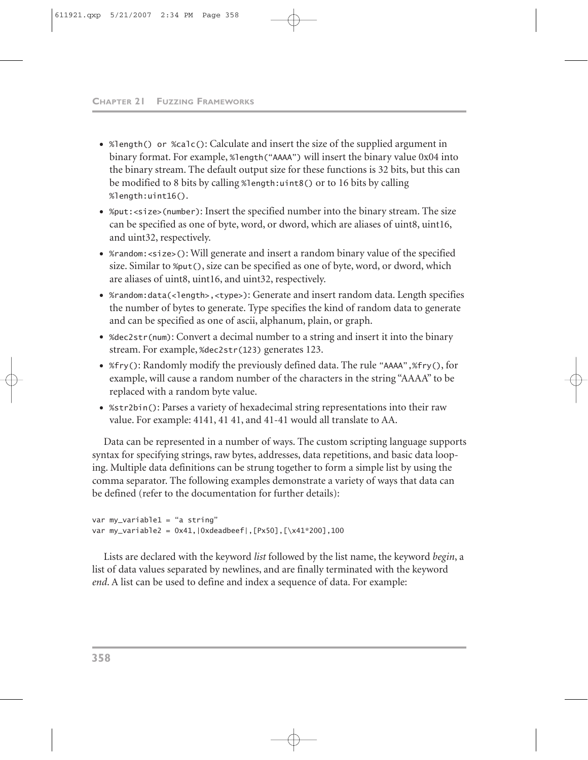- %length() or %calc(): Calculate and insert the size of the supplied argument in binary format. For example, %length("AAAA") will insert the binary value 0x04 into the binary stream. The default output size for these functions is 32 bits, but this can be modified to 8 bits by calling %length:uint8() or to 16 bits by calling %length:uint16().
- %put:<size>(number): Insert the specified number into the binary stream. The size can be specified as one of byte, word, or dword, which are aliases of uint8, uint16, and uint32, respectively.
- %random: <size>(): Will generate and insert a random binary value of the specified size. Similar to %put(), size can be specified as one of byte, word, or dword, which are aliases of uint8, uint16, and uint32, respectively.
- %random:data(<length>,<type>): Generate and insert random data. Length specifies the number of bytes to generate. Type specifies the kind of random data to generate and can be specified as one of ascii, alphanum, plain, or graph.
- %dec2str(num): Convert a decimal number to a string and insert it into the binary stream. For example, %dec2str(123) generates 123.
- %fry(): Randomly modify the previously defined data. The rule "AAAA",%fry(), for example, will cause a random number of the characters in the string "AAAA" to be replaced with a random byte value.
- %str2bin(): Parses a variety of hexadecimal string representations into their raw value. For example: 4141, 41 41, and 41-41 would all translate to AA.

Data can be represented in a number of ways. The custom scripting language supports syntax for specifying strings, raw bytes, addresses, data repetitions, and basic data looping. Multiple data definitions can be strung together to form a simple list by using the comma separator. The following examples demonstrate a variety of ways that data can be defined (refer to the documentation for further details):

```
var my_variable1 = "a string"
var my_variable2 = 0x41,|0xdeadbeef|,[Px50],[\x41*200],100
```
Lists are declared with the keyword *list* followed by the list name, the keyword *begin*, a list of data values separated by newlines, and are finally terminated with the keyword *end*. A list can be used to define and index a sequence of data. For example: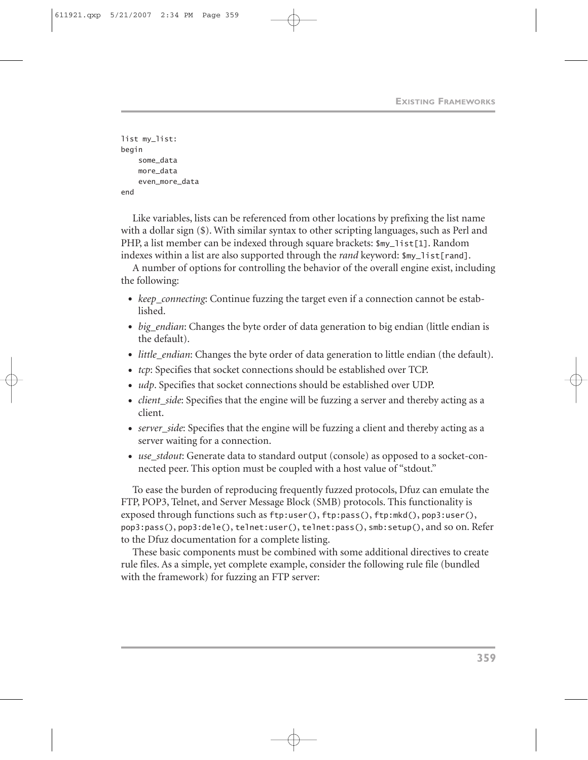```
list my_list:
begin
    some_data
    more_data
    even_more_data
end
```
Like variables, lists can be referenced from other locations by prefixing the list name with a dollar sign (\$). With similar syntax to other scripting languages, such as Perl and PHP, a list member can be indexed through square brackets: \$my\_list[1]. Random indexes within a list are also supported through the *rand* keyword: \$my\_list[rand].

A number of options for controlling the behavior of the overall engine exist, including the following:

- *keep\_connecting*: Continue fuzzing the target even if a connection cannot be established.
- *big endian*: Changes the byte order of data generation to big endian (little endian is the default).
- *little\_endian*: Changes the byte order of data generation to little endian (the default).
- *tcp*: Specifies that socket connections should be established over TCP.
- *udp*. Specifies that socket connections should be established over UDP.
- *client\_side*: Specifies that the engine will be fuzzing a server and thereby acting as a client.
- *server\_side*: Specifies that the engine will be fuzzing a client and thereby acting as a server waiting for a connection.
- *use\_stdout*: Generate data to standard output (console) as opposed to a socket-connected peer. This option must be coupled with a host value of "stdout."

To ease the burden of reproducing frequently fuzzed protocols, Dfuz can emulate the FTP, POP3, Telnet, and Server Message Block (SMB) protocols. This functionality is exposed through functions such as ftp:user(), ftp:pass(), ftp:mkd(), pop3:user(), pop3:pass(), pop3:dele(), telnet:user(), telnet:pass(), smb:setup(), and so on. Refer to the Dfuz documentation for a complete listing.

These basic components must be combined with some additional directives to create rule files. As a simple, yet complete example, consider the following rule file (bundled with the framework) for fuzzing an FTP server: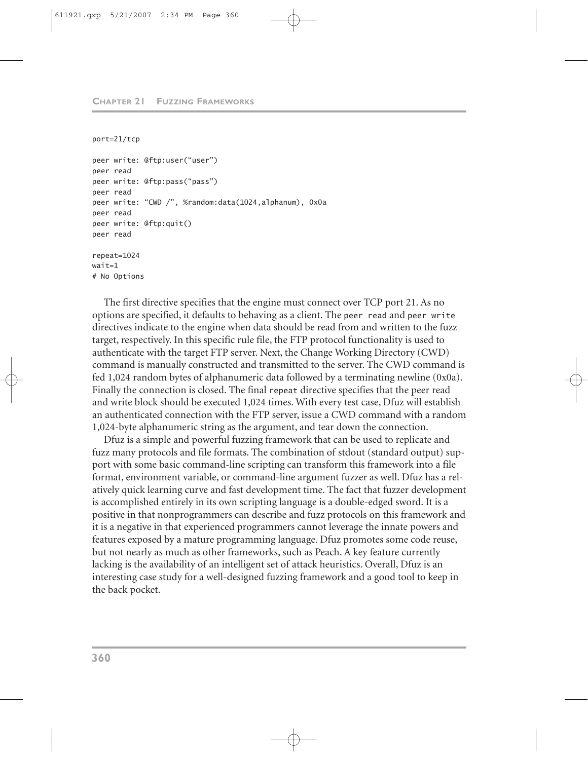```
port=21/tcp
```

```
peer write: @ftp:user("user")
peer read
peer write: @ftp:pass("pass")
peer read
peer write: "CWD /", %random:data(1024,alphanum), 0x0a
peer read
peer write: @ftp:quit()
peer read
repeat=1024
wait = 1# No Options
```
The first directive specifies that the engine must connect over TCP port 21. As no options are specified, it defaults to behaving as a client. The peer read and peer write directives indicate to the engine when data should be read from and written to the fuzz target, respectively. In this specific rule file, the FTP protocol functionality is used to authenticate with the target FTP server. Next, the Change Working Directory (CWD) command is manually constructed and transmitted to the server. The CWD command is fed 1,024 random bytes of alphanumeric data followed by a terminating newline (0x0a). Finally the connection is closed. The final repeat directive specifies that the peer read and write block should be executed 1,024 times. With every test case, Dfuz will establish an authenticated connection with the FTP server, issue a CWD command with a random 1,024-byte alphanumeric string as the argument, and tear down the connection.

Dfuz is a simple and powerful fuzzing framework that can be used to replicate and fuzz many protocols and file formats. The combination of stdout (standard output) support with some basic command-line scripting can transform this framework into a file format, environment variable, or command-line argument fuzzer as well. Dfuz has a relatively quick learning curve and fast development time. The fact that fuzzer development is accomplished entirely in its own scripting language is a double-edged sword. It is a positive in that nonprogrammers can describe and fuzz protocols on this framework and it is a negative in that experienced programmers cannot leverage the innate powers and features exposed by a mature programming language. Dfuz promotes some code reuse, but not nearly as much as other frameworks, such as Peach. A key feature currently lacking is the availability of an intelligent set of attack heuristics. Overall, Dfuz is an interesting case study for a well-designed fuzzing framework and a good tool to keep in the back pocket.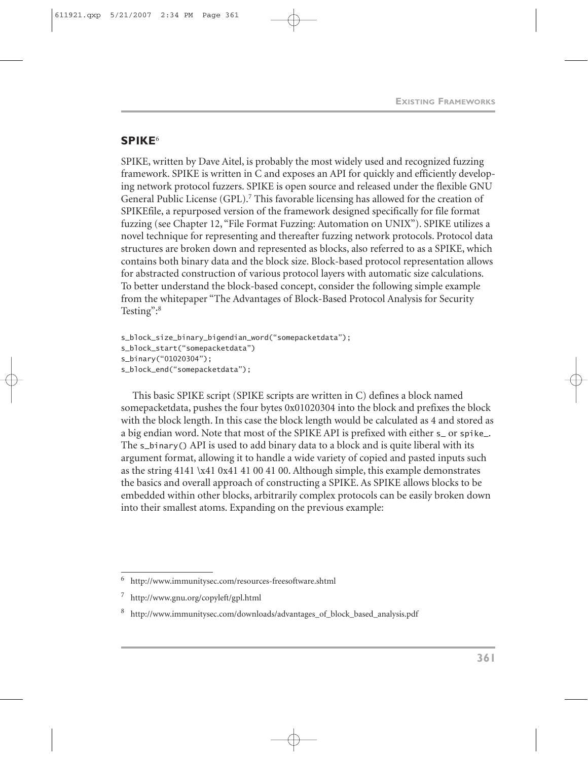## **SPIKE**<sup>6</sup>

SPIKE, written by Dave Aitel, is probably the most widely used and recognized fuzzing framework. SPIKE is written in C and exposes an API for quickly and efficiently developing network protocol fuzzers. SPIKE is open source and released under the flexible GNU General Public License  $(GPL)$ .<sup>7</sup> This favorable licensing has allowed for the creation of SPIKEfile, a repurposed version of the framework designed specifically for file format fuzzing (see Chapter 12, "File Format Fuzzing: Automation on UNIX"). SPIKE utilizes a novel technique for representing and thereafter fuzzing network protocols. Protocol data structures are broken down and represented as blocks, also referred to as a SPIKE, which contains both binary data and the block size. Block-based protocol representation allows for abstracted construction of various protocol layers with automatic size calculations. To better understand the block-based concept, consider the following simple example from the whitepaper "The Advantages of Block-Based Protocol Analysis for Security Testing":8

```
s_block_size_binary_bigendian_word("somepacketdata");
s_block_start("somepacketdata")
s_binary("01020304");
s_block_end("somepacketdata");
```
This basic SPIKE script (SPIKE scripts are written in C) defines a block named somepacketdata, pushes the four bytes 0x01020304 into the block and prefixes the block with the block length. In this case the block length would be calculated as 4 and stored as a big endian word. Note that most of the SPIKE API is prefixed with either s\_ or spike\_. The s\_binary() API is used to add binary data to a block and is quite liberal with its argument format, allowing it to handle a wide variety of copied and pasted inputs such as the string 4141 \x41 0x41 41 00 41 00. Although simple, this example demonstrates the basics and overall approach of constructing a SPIKE. As SPIKE allows blocks to be embedded within other blocks, arbitrarily complex protocols can be easily broken down into their smallest atoms. Expanding on the previous example:

http://www.immunitysec.com/resources-freesoftware.shtml

<sup>7</sup> http://www.gnu.org/copyleft/gpl.html

http://www.immunitysec.com/downloads/advantages\_of\_block\_based\_analysis.pdf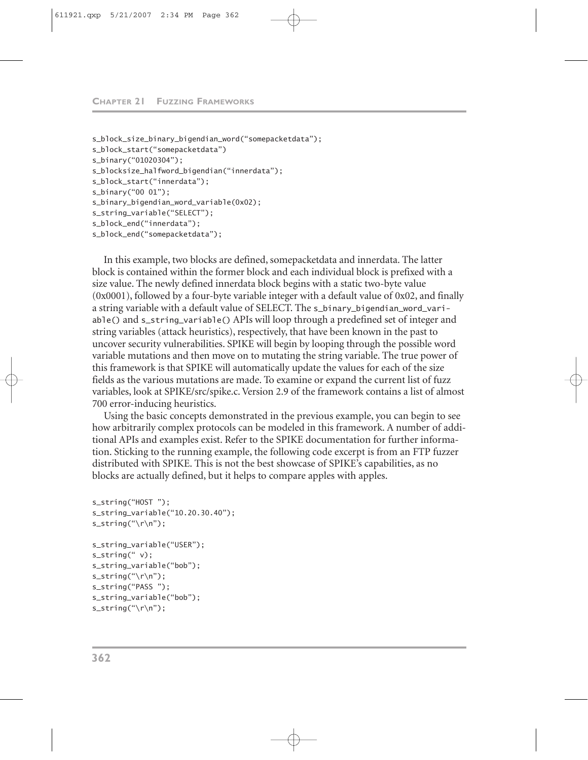```
s_block_size_binary_bigendian_word("somepacketdata");
s_block_start("somepacketdata")
s_binary("01020304");
s_blocksize_halfword_bigendian("innerdata");
s_block_start("innerdata");
s_binary("00 01");
s_binary_bigendian_word_variable(0x02);
s_string_variable("SELECT");
s_block_end("innerdata");
s_block_end("somepacketdata");
```
In this example, two blocks are defined, somepacketdata and innerdata. The latter block is contained within the former block and each individual block is prefixed with a size value. The newly defined innerdata block begins with a static two-byte value (0x0001), followed by a four-byte variable integer with a default value of 0x02, and finally a string variable with a default value of SELECT. The s\_binary\_bigendian\_word\_variable() and s\_string\_variable() APIs will loop through a predefined set of integer and string variables (attack heuristics), respectively, that have been known in the past to uncover security vulnerabilities. SPIKE will begin by looping through the possible word variable mutations and then move on to mutating the string variable. The true power of this framework is that SPIKE will automatically update the values for each of the size fields as the various mutations are made. To examine or expand the current list of fuzz variables, look at SPIKE/src/spike.c. Version 2.9 of the framework contains a list of almost 700 error-inducing heuristics.

Using the basic concepts demonstrated in the previous example, you can begin to see how arbitrarily complex protocols can be modeled in this framework. A number of additional APIs and examples exist. Refer to the SPIKE documentation for further information. Sticking to the running example, the following code excerpt is from an FTP fuzzer distributed with SPIKE. This is not the best showcase of SPIKE's capabilities, as no blocks are actually defined, but it helps to compare apples with apples.

```
s_string("HOST ");
s_string_variable("10.20.30.40");
s_string("\r\n");
s_string_variable("USER");
s_string(" v);
s_string_variable("bob");
s_string("\r\n");
s_string("PASS ");
s_string_variable("bob");
s_string("\r\n");
```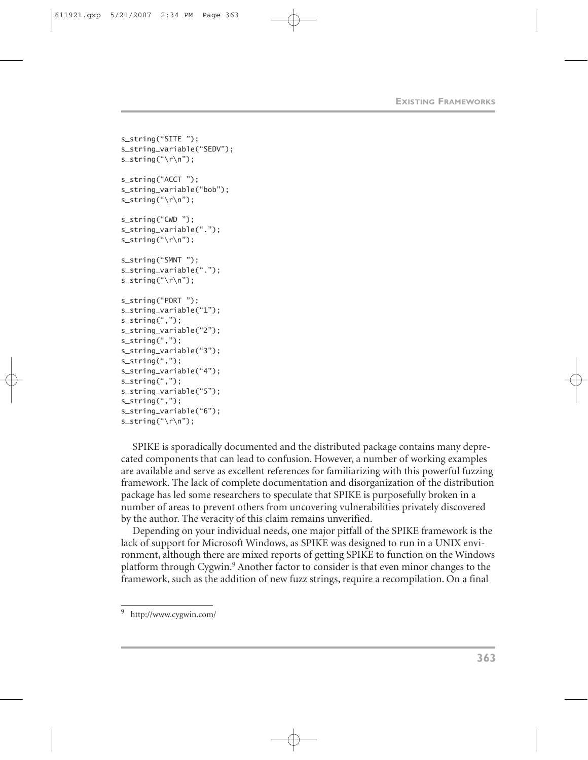```
s_string("SITE ");
s_string_variable("SEDV");
s_string("\r\n");
s_string("ACCT ");
s_string_variable("bob");
s_string("\r\n");
s_string("CWD ");
s_string_variable(".");
s_string("\r\n");
s_string("SMNT ");
s_string_variable(".");
s_string("\r\n");
s_string("PORT ");
s_string_variable("1");
s_string(",");
s_string_variable("2");
s_string(",");
s_string_variable("3");
s_string(",");
s_string_variable("4");
s_string(",");
s_string_variable("5");
s_string(",");
s_string_variable("6");
s_string("\r\n");
```
SPIKE is sporadically documented and the distributed package contains many deprecated components that can lead to confusion. However, a number of working examples are available and serve as excellent references for familiarizing with this powerful fuzzing framework. The lack of complete documentation and disorganization of the distribution package has led some researchers to speculate that SPIKE is purposefully broken in a number of areas to prevent others from uncovering vulnerabilities privately discovered by the author. The veracity of this claim remains unverified.

Depending on your individual needs, one major pitfall of the SPIKE framework is the lack of support for Microsoft Windows, as SPIKE was designed to run in a UNIX environment, although there are mixed reports of getting SPIKE to function on the Windows platform through Cygwin.9 Another factor to consider is that even minor changes to the framework, such as the addition of new fuzz strings, require a recompilation. On a final

<sup>9</sup> http://www.cygwin.com/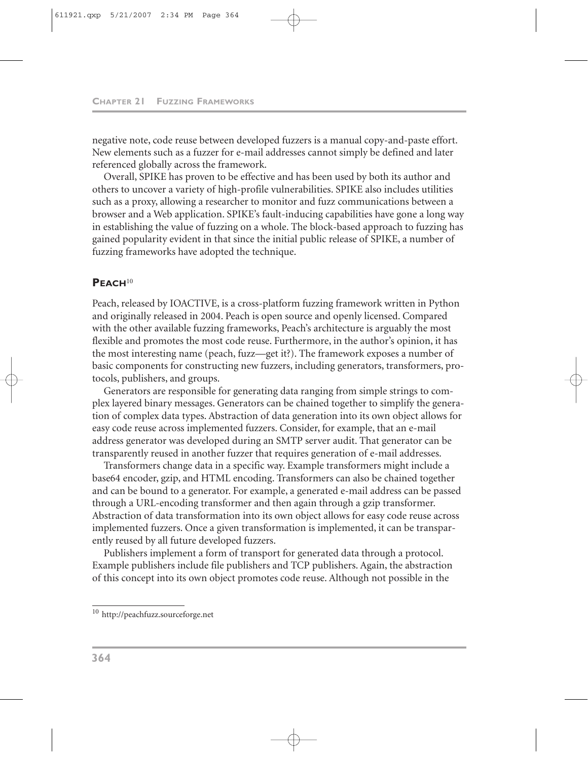negative note, code reuse between developed fuzzers is a manual copy-and-paste effort. New elements such as a fuzzer for e-mail addresses cannot simply be defined and later referenced globally across the framework.

Overall, SPIKE has proven to be effective and has been used by both its author and others to uncover a variety of high-profile vulnerabilities. SPIKE also includes utilities such as a proxy, allowing a researcher to monitor and fuzz communications between a browser and a Web application. SPIKE's fault-inducing capabilities have gone a long way in establishing the value of fuzzing on a whole. The block-based approach to fuzzing has gained popularity evident in that since the initial public release of SPIKE, a number of fuzzing frameworks have adopted the technique.

## **PEACH**<sup>10</sup>

Peach, released by IOACTIVE, is a cross-platform fuzzing framework written in Python and originally released in 2004. Peach is open source and openly licensed. Compared with the other available fuzzing frameworks, Peach's architecture is arguably the most flexible and promotes the most code reuse. Furthermore, in the author's opinion, it has the most interesting name (peach, fuzz—get it?). The framework exposes a number of basic components for constructing new fuzzers, including generators, transformers, protocols, publishers, and groups.

Generators are responsible for generating data ranging from simple strings to complex layered binary messages. Generators can be chained together to simplify the generation of complex data types. Abstraction of data generation into its own object allows for easy code reuse across implemented fuzzers. Consider, for example, that an e-mail address generator was developed during an SMTP server audit. That generator can be transparently reused in another fuzzer that requires generation of e-mail addresses.

Transformers change data in a specific way. Example transformers might include a base64 encoder, gzip, and HTML encoding. Transformers can also be chained together and can be bound to a generator. For example, a generated e-mail address can be passed through a URL-encoding transformer and then again through a gzip transformer. Abstraction of data transformation into its own object allows for easy code reuse across implemented fuzzers. Once a given transformation is implemented, it can be transparently reused by all future developed fuzzers.

Publishers implement a form of transport for generated data through a protocol. Example publishers include file publishers and TCP publishers. Again, the abstraction of this concept into its own object promotes code reuse. Although not possible in the

<sup>10</sup> http://peachfuzz.sourceforge.net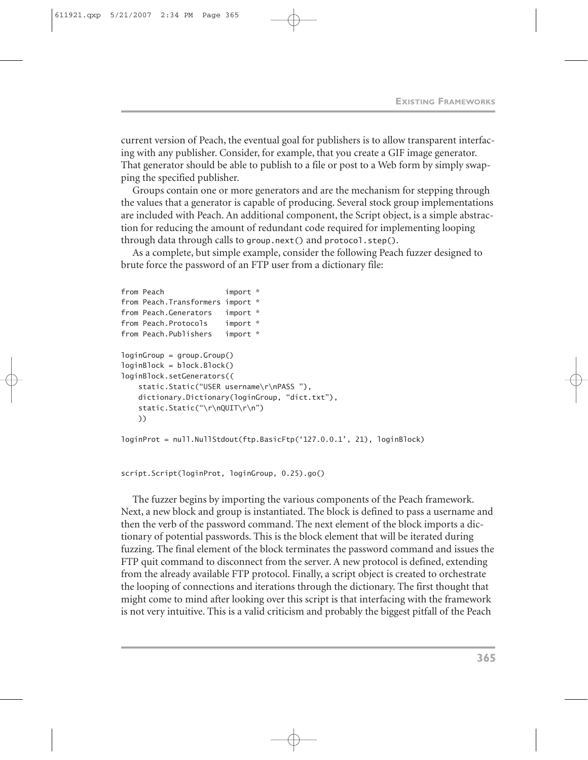current version of Peach, the eventual goal for publishers is to allow transparent interfacing with any publisher. Consider, for example, that you create a GIF image generator. That generator should be able to publish to a file or post to a Web form by simply swapping the specified publisher.

Groups contain one or more generators and are the mechanism for stepping through the values that a generator is capable of producing. Several stock group implementations are included with Peach. An additional component, the Script object, is a simple abstraction for reducing the amount of redundant code required for implementing looping through data through calls to group.next() and protocol.step().

As a complete, but simple example, consider the following Peach fuzzer designed to brute force the password of an FTP user from a dictionary file:

```
from Peach import *
from Peach.Transformers import *
from Peach.Generators import *
from Peach.Protocols import *
from Peach.Publishers import *
loginGroup = group.Group()
loginBlock = block.Block()
loginBlock.setGenerators((
    static.Static("USER username\r\nPASS "),
    dictionary.Dictionary(loginGroup, "dict.txt"),
    static.Static("\r\nOUIT\r\n")
    ))
loginProt = null.NullStdout(ftp.BasicFtp('127.0.0.1', 21), loginBlock)
```
script.Script(loginProt, loginGroup, 0.25).go()

The fuzzer begins by importing the various components of the Peach framework. Next, a new block and group is instantiated. The block is defined to pass a username and then the verb of the password command. The next element of the block imports a dictionary of potential passwords. This is the block element that will be iterated during fuzzing. The final element of the block terminates the password command and issues the FTP quit command to disconnect from the server. A new protocol is defined, extending from the already available FTP protocol. Finally, a script object is created to orchestrate the looping of connections and iterations through the dictionary. The first thought that might come to mind after looking over this script is that interfacing with the framework is not very intuitive. This is a valid criticism and probably the biggest pitfall of the Peach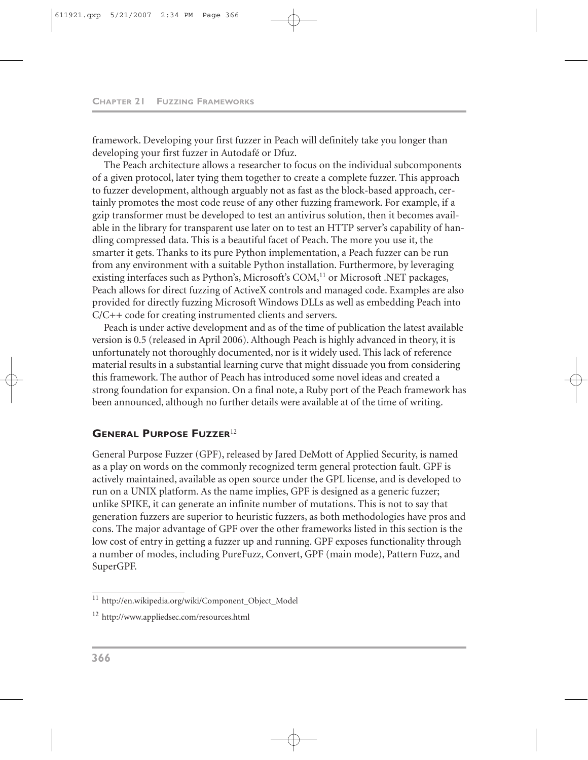framework. Developing your first fuzzer in Peach will definitely take you longer than developing your first fuzzer in Autodafé or Dfuz.

The Peach architecture allows a researcher to focus on the individual subcomponents of a given protocol, later tying them together to create a complete fuzzer. This approach to fuzzer development, although arguably not as fast as the block-based approach, certainly promotes the most code reuse of any other fuzzing framework. For example, if a gzip transformer must be developed to test an antivirus solution, then it becomes available in the library for transparent use later on to test an HTTP server's capability of handling compressed data. This is a beautiful facet of Peach. The more you use it, the smarter it gets. Thanks to its pure Python implementation, a Peach fuzzer can be run from any environment with a suitable Python installation. Furthermore, by leveraging existing interfaces such as Python's, Microsoft's COM, $^{11}$  or Microsoft .NET packages, Peach allows for direct fuzzing of ActiveX controls and managed code. Examples are also provided for directly fuzzing Microsoft Windows DLLs as well as embedding Peach into C/C++ code for creating instrumented clients and servers.

Peach is under active development and as of the time of publication the latest available version is 0.5 (released in April 2006). Although Peach is highly advanced in theory, it is unfortunately not thoroughly documented, nor is it widely used. This lack of reference material results in a substantial learning curve that might dissuade you from considering this framework. The author of Peach has introduced some novel ideas and created a strong foundation for expansion. On a final note, a Ruby port of the Peach framework has been announced, although no further details were available at of the time of writing.

## **GENERAL PURPOSE FUZZER**<sup>12</sup>

General Purpose Fuzzer (GPF), released by Jared DeMott of Applied Security, is named as a play on words on the commonly recognized term general protection fault. GPF is actively maintained, available as open source under the GPL license, and is developed to run on a UNIX platform. As the name implies, GPF is designed as a generic fuzzer; unlike SPIKE, it can generate an infinite number of mutations. This is not to say that generation fuzzers are superior to heuristic fuzzers, as both methodologies have pros and cons. The major advantage of GPF over the other frameworks listed in this section is the low cost of entry in getting a fuzzer up and running. GPF exposes functionality through a number of modes, including PureFuzz, Convert, GPF (main mode), Pattern Fuzz, and SuperGPF.

<sup>11</sup> http://en.wikipedia.org/wiki/Component\_Object\_Model

<sup>12</sup> http://www.appliedsec.com/resources.html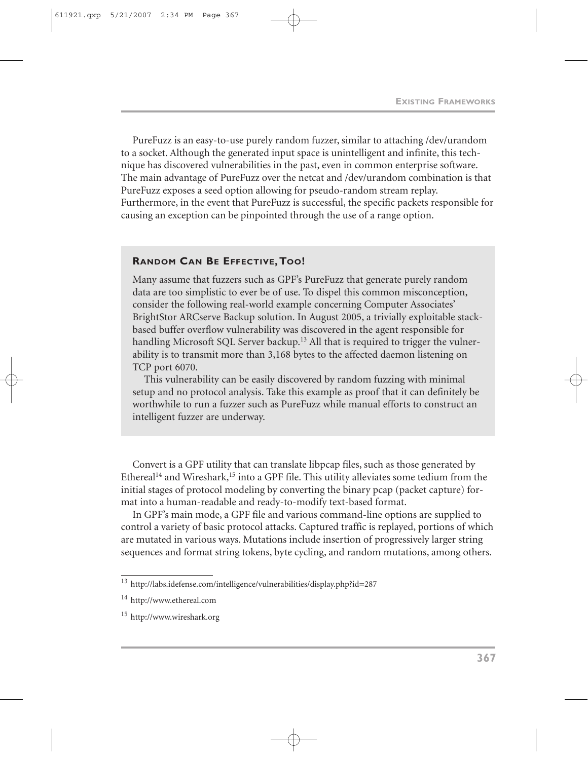PureFuzz is an easy-to-use purely random fuzzer, similar to attaching /dev/urandom to a socket. Although the generated input space is unintelligent and infinite, this technique has discovered vulnerabilities in the past, even in common enterprise software. The main advantage of PureFuzz over the netcat and /dev/urandom combination is that PureFuzz exposes a seed option allowing for pseudo-random stream replay. Furthermore, in the event that PureFuzz is successful, the specific packets responsible for causing an exception can be pinpointed through the use of a range option.

#### **RANDOM CAN BE EFFECTIVE,TOO!**

Many assume that fuzzers such as GPF's PureFuzz that generate purely random data are too simplistic to ever be of use. To dispel this common misconception, consider the following real-world example concerning Computer Associates' BrightStor ARCserve Backup solution. In August 2005, a trivially exploitable stackbased buffer overflow vulnerability was discovered in the agent responsible for handling Microsoft SQL Server backup.<sup>13</sup> All that is required to trigger the vulnerability is to transmit more than 3,168 bytes to the affected daemon listening on TCP port 6070.

This vulnerability can be easily discovered by random fuzzing with minimal setup and no protocol analysis. Take this example as proof that it can definitely be worthwhile to run a fuzzer such as PureFuzz while manual efforts to construct an intelligent fuzzer are underway.

Convert is a GPF utility that can translate libpcap files, such as those generated by Ethereal<sup>14</sup> and Wireshark,<sup>15</sup> into a GPF file. This utility alleviates some tedium from the initial stages of protocol modeling by converting the binary pcap (packet capture) format into a human-readable and ready-to-modify text-based format.

In GPF's main mode, a GPF file and various command-line options are supplied to control a variety of basic protocol attacks. Captured traffic is replayed, portions of which are mutated in various ways. Mutations include insertion of progressively larger string sequences and format string tokens, byte cycling, and random mutations, among others.

<sup>13</sup> http://labs.idefense.com/intelligence/vulnerabilities/display.php?id=287

<sup>14</sup> http://www.ethereal.com

<sup>15</sup> http://www.wireshark.org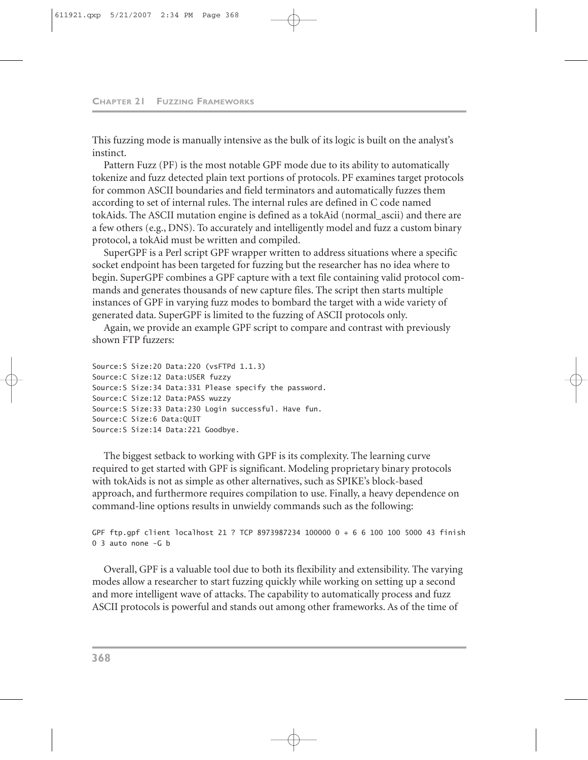This fuzzing mode is manually intensive as the bulk of its logic is built on the analyst's instinct.

Pattern Fuzz (PF) is the most notable GPF mode due to its ability to automatically tokenize and fuzz detected plain text portions of protocols. PF examines target protocols for common ASCII boundaries and field terminators and automatically fuzzes them according to set of internal rules. The internal rules are defined in C code named tokAids. The ASCII mutation engine is defined as a tokAid (normal\_ascii) and there are a few others (e.g., DNS). To accurately and intelligently model and fuzz a custom binary protocol, a tokAid must be written and compiled.

SuperGPF is a Perl script GPF wrapper written to address situations where a specific socket endpoint has been targeted for fuzzing but the researcher has no idea where to begin. SuperGPF combines a GPF capture with a text file containing valid protocol commands and generates thousands of new capture files. The script then starts multiple instances of GPF in varying fuzz modes to bombard the target with a wide variety of generated data. SuperGPF is limited to the fuzzing of ASCII protocols only.

Again, we provide an example GPF script to compare and contrast with previously shown FTP fuzzers:

```
Source:S Size:20 Data:220 (vsFTPd 1.1.3)
Source:C Size:12 Data:USER fuzzy
Source:S Size:34 Data:331 Please specify the password.
Source:C Size:12 Data:PASS wuzzy
Source:S Size:33 Data:230 Login successful. Have fun.
Source:C Size:6 Data:QUIT
Source:S Size:14 Data:221 Goodbye.
```
The biggest setback to working with GPF is its complexity. The learning curve required to get started with GPF is significant. Modeling proprietary binary protocols with tokAids is not as simple as other alternatives, such as SPIKE's block-based approach, and furthermore requires compilation to use. Finally, a heavy dependence on command-line options results in unwieldy commands such as the following:

GPF ftp.gpf client localhost 21 ? TCP 8973987234 100000 0 + 6 6 100 100 5000 43 finish 0 3 auto none -G b

Overall, GPF is a valuable tool due to both its flexibility and extensibility. The varying modes allow a researcher to start fuzzing quickly while working on setting up a second and more intelligent wave of attacks. The capability to automatically process and fuzz ASCII protocols is powerful and stands out among other frameworks. As of the time of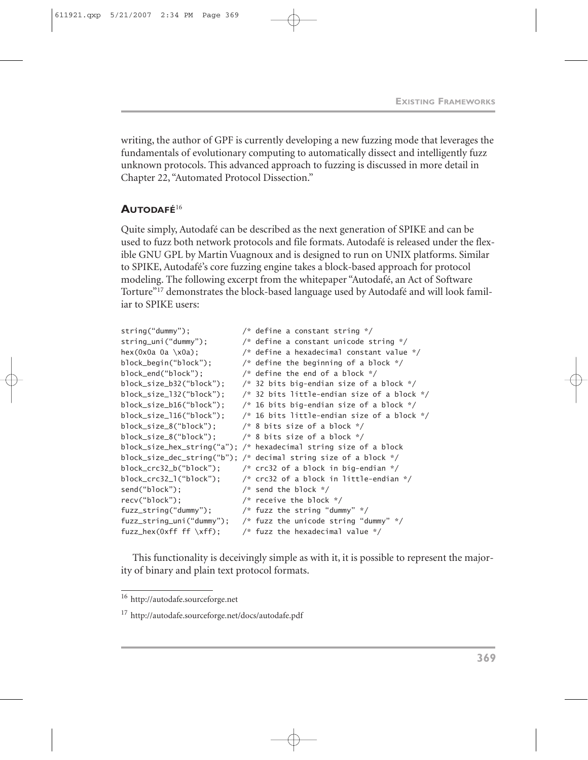writing, the author of GPF is currently developing a new fuzzing mode that leverages the fundamentals of evolutionary computing to automatically dissect and intelligently fuzz unknown protocols. This advanced approach to fuzzing is discussed in more detail in Chapter 22, "Automated Protocol Dissection."

## **AUTODAFÉ**<sup>16</sup>

Quite simply, Autodafé can be described as the next generation of SPIKE and can be used to fuzz both network protocols and file formats. Autodafé is released under the flexible GNU GPL by Martin Vuagnoux and is designed to run on UNIX platforms. Similar to SPIKE, Autodafé's core fuzzing engine takes a block-based approach for protocol modeling. The following excerpt from the whitepaper "Autodafé, an Act of Software Torture"17 demonstrates the block-based language used by Autodafé and will look familiar to SPIKE users:

```
string("dummy"); /* define a constant string */
string_uni("dummy"); /* define a constant unicode string */
hex(0x0a 0a \x0a); /* define a hexadecimal constant value */
block_begin("block"); /* define the beginning of a block */
block_end("block"); /* define the end of a block */
block_size_b32("block"); \frac{1}{2} /* 32 bits big-endian size of a block \frac{1}{2}block_size_l32("block"); /* 32 bits little-endian size of a block */
block_size_b16("block"); \frac{1}{2} /* 16 bits big-endian size of a block \frac{1}{2}block_size_l16("block"); \frac{1}{2} /* 16 bits little-endian size of a block \frac{x}{4}block_size_8("block"); /* 8 bits size of a block */
block_size_8("block"); /* 8 bits size of a block */
block_size_hex_string("a"); /* hexadecimal string size of a block
block_size_dec_string("b"); /* decimal string size of a block */
block_crc32_b("block"); \frac{1}{2} /* crc32 of a block in big-endian */
block_crc32_l("block"); /* crc32 of a block in little-endian */
send("block"); /* send the block */recv("block"); /* receive the block */
fuzz_string("dummy"); /* fuzz the string "dummy" */
fuzz_string_uni("dummy"); /* fuzz the unicode string "dummy" */
fuzz_hex(0xff ff \xff); \quad /* fuzz the hexadecimal value */
```
This functionality is deceivingly simple as with it, it is possible to represent the majority of binary and plain text protocol formats.

<sup>16</sup> http://autodafe.sourceforge.net

<sup>17</sup> http://autodafe.sourceforge.net/docs/autodafe.pdf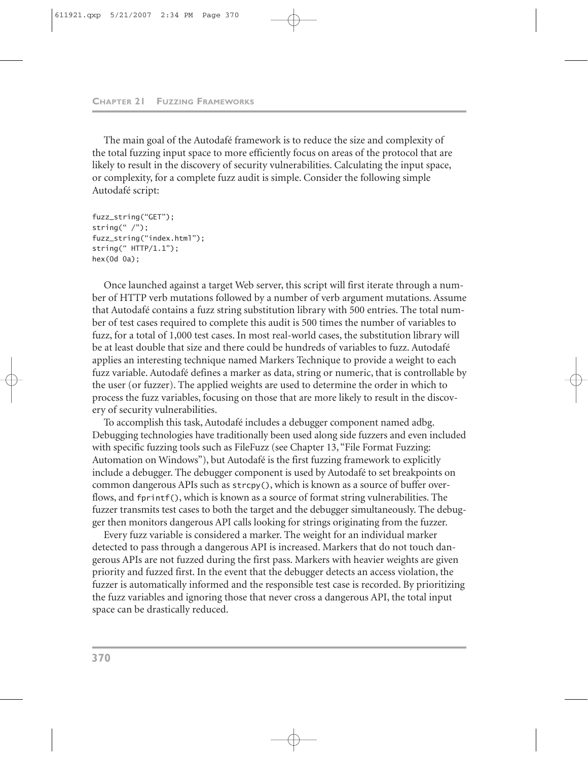The main goal of the Autodafé framework is to reduce the size and complexity of the total fuzzing input space to more efficiently focus on areas of the protocol that are likely to result in the discovery of security vulnerabilities. Calculating the input space, or complexity, for a complete fuzz audit is simple. Consider the following simple Autodafé script:

```
fuzz_string("GET");
string(" '");
fuzz_string("index.html");
string(" HTTP/1.1");
hex(0d 0a);
```
Once launched against a target Web server, this script will first iterate through a number of HTTP verb mutations followed by a number of verb argument mutations. Assume that Autodafé contains a fuzz string substitution library with 500 entries. The total number of test cases required to complete this audit is 500 times the number of variables to fuzz, for a total of 1,000 test cases. In most real-world cases, the substitution library will be at least double that size and there could be hundreds of variables to fuzz. Autodafé applies an interesting technique named Markers Technique to provide a weight to each fuzz variable. Autodafé defines a marker as data, string or numeric, that is controllable by the user (or fuzzer). The applied weights are used to determine the order in which to process the fuzz variables, focusing on those that are more likely to result in the discovery of security vulnerabilities.

To accomplish this task, Autodafé includes a debugger component named adbg. Debugging technologies have traditionally been used along side fuzzers and even included with specific fuzzing tools such as FileFuzz (see Chapter 13, "File Format Fuzzing: Automation on Windows"), but Autodafé is the first fuzzing framework to explicitly include a debugger. The debugger component is used by Autodafé to set breakpoints on common dangerous APIs such as strcpy(), which is known as a source of buffer overflows, and fprintf(), which is known as a source of format string vulnerabilities. The fuzzer transmits test cases to both the target and the debugger simultaneously. The debugger then monitors dangerous API calls looking for strings originating from the fuzzer.

Every fuzz variable is considered a marker. The weight for an individual marker detected to pass through a dangerous API is increased. Markers that do not touch dangerous APIs are not fuzzed during the first pass. Markers with heavier weights are given priority and fuzzed first. In the event that the debugger detects an access violation, the fuzzer is automatically informed and the responsible test case is recorded. By prioritizing the fuzz variables and ignoring those that never cross a dangerous API, the total input space can be drastically reduced.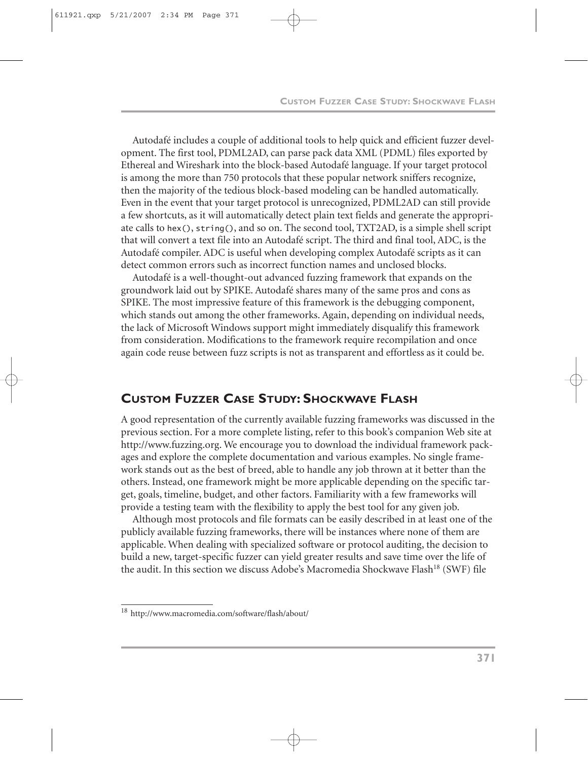Autodafé includes a couple of additional tools to help quick and efficient fuzzer development. The first tool, PDML2AD, can parse pack data XML (PDML) files exported by Ethereal and Wireshark into the block-based Autodafé language. If your target protocol is among the more than 750 protocols that these popular network sniffers recognize, then the majority of the tedious block-based modeling can be handled automatically. Even in the event that your target protocol is unrecognized, PDML2AD can still provide a few shortcuts, as it will automatically detect plain text fields and generate the appropriate calls to hex(), string(), and so on. The second tool, TXT2AD, is a simple shell script that will convert a text file into an Autodafé script. The third and final tool, ADC, is the Autodafé compiler. ADC is useful when developing complex Autodafé scripts as it can detect common errors such as incorrect function names and unclosed blocks.

Autodafé is a well-thought-out advanced fuzzing framework that expands on the groundwork laid out by SPIKE. Autodafé shares many of the same pros and cons as SPIKE. The most impressive feature of this framework is the debugging component, which stands out among the other frameworks. Again, depending on individual needs, the lack of Microsoft Windows support might immediately disqualify this framework from consideration. Modifications to the framework require recompilation and once again code reuse between fuzz scripts is not as transparent and effortless as it could be.

## **CUSTOM FUZZER CASE STUDY: SHOCKWAVE FLASH**

A good representation of the currently available fuzzing frameworks was discussed in the previous section. For a more complete listing, refer to this book's companion Web site at http://www.fuzzing.org. We encourage you to download the individual framework packages and explore the complete documentation and various examples. No single framework stands out as the best of breed, able to handle any job thrown at it better than the others. Instead, one framework might be more applicable depending on the specific target, goals, timeline, budget, and other factors. Familiarity with a few frameworks will provide a testing team with the flexibility to apply the best tool for any given job.

Although most protocols and file formats can be easily described in at least one of the publicly available fuzzing frameworks, there will be instances where none of them are applicable. When dealing with specialized software or protocol auditing, the decision to build a new, target-specific fuzzer can yield greater results and save time over the life of the audit. In this section we discuss Adobe's Macromedia Shockwave Flash<sup>18</sup> (SWF) file

<sup>18</sup> http://www.macromedia.com/software/flash/about/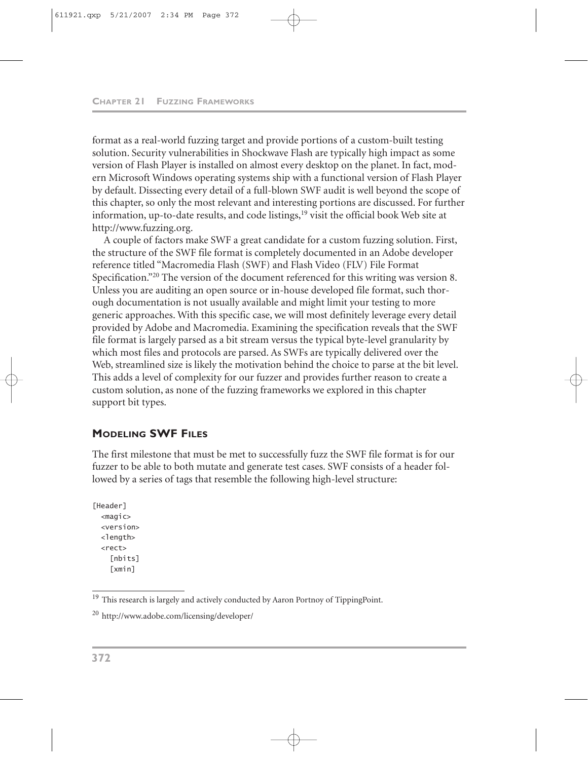format as a real-world fuzzing target and provide portions of a custom-built testing solution. Security vulnerabilities in Shockwave Flash are typically high impact as some version of Flash Player is installed on almost every desktop on the planet. In fact, modern Microsoft Windows operating systems ship with a functional version of Flash Player by default. Dissecting every detail of a full-blown SWF audit is well beyond the scope of this chapter, so only the most relevant and interesting portions are discussed. For further information, up-to-date results, and code listings,<sup>19</sup> visit the official book Web site at http://www.fuzzing.org.

A couple of factors make SWF a great candidate for a custom fuzzing solution. First, the structure of the SWF file format is completely documented in an Adobe developer reference titled "Macromedia Flash (SWF) and Flash Video (FLV) File Format Specification."<sup>20</sup> The version of the document referenced for this writing was version 8. Unless you are auditing an open source or in-house developed file format, such thorough documentation is not usually available and might limit your testing to more generic approaches. With this specific case, we will most definitely leverage every detail provided by Adobe and Macromedia. Examining the specification reveals that the SWF file format is largely parsed as a bit stream versus the typical byte-level granularity by which most files and protocols are parsed. As SWFs are typically delivered over the Web, streamlined size is likely the motivation behind the choice to parse at the bit level. This adds a level of complexity for our fuzzer and provides further reason to create a custom solution, as none of the fuzzing frameworks we explored in this chapter support bit types.

## **MODELING SWF FILES**

The first milestone that must be met to successfully fuzz the SWF file format is for our fuzzer to be able to both mutate and generate test cases. SWF consists of a header followed by a series of tags that resemble the following high-level structure:

```
[Header]
 <magic><version>
 <length>
 <rect>
    [nbits]
    [xmin]
```
<sup>&</sup>lt;sup>19</sup> This research is largely and actively conducted by Aaron Portnoy of TippingPoint.

<sup>20</sup> http://www.adobe.com/licensing/developer/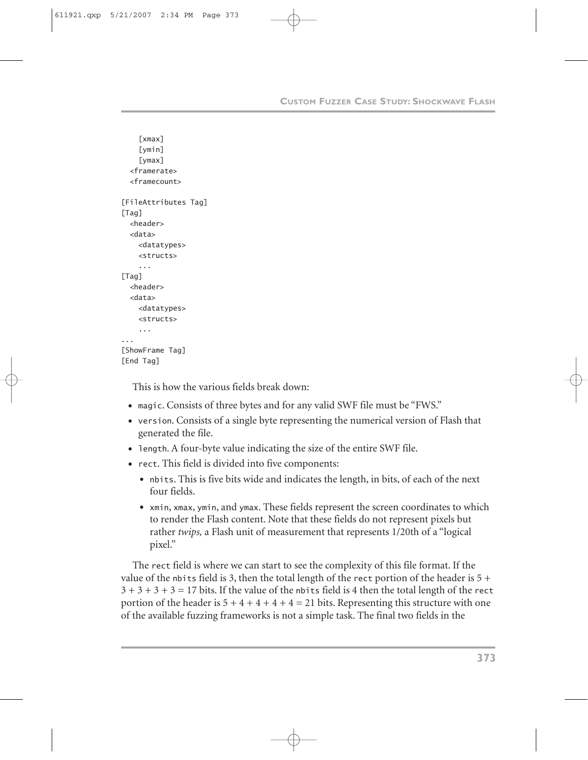```
[xmax]
    [ymin]
    [ymax]
  <framerate>
  <framecount>
[FileAttributes Tag]
[Tag]
  <header>
  <data>
    <datatypes>
    <structs>
    ...
\lceilTag\rceil<header>
  <data>
    <datatypes>
    <structs>
    ...
...
[ShowFrame Tag]
[End Tag]
```
This is how the various fields break down:

- magic. Consists of three bytes and for any valid SWF file must be "FWS."
- version. Consists of a single byte representing the numerical version of Flash that generated the file.
- length. A four-byte value indicating the size of the entire SWF file.
- rect. This field is divided into five components:
	- nbits. This is five bits wide and indicates the length, in bits, of each of the next four fields.
	- xmin, xmax, ymin, and ymax. These fields represent the screen coordinates to which to render the Flash content. Note that these fields do not represent pixels but rather *twips,* a Flash unit of measurement that represents 1/20th of a "logical pixel."

The rect field is where we can start to see the complexity of this file format. If the value of the nbits field is 3, then the total length of the rect portion of the header is  $5 +$  $3 + 3 + 3 + 3 = 17$  bits. If the value of the nbits field is 4 then the total length of the rect portion of the header is  $5 + 4 + 4 + 4 + 4 = 21$  bits. Representing this structure with one of the available fuzzing frameworks is not a simple task. The final two fields in the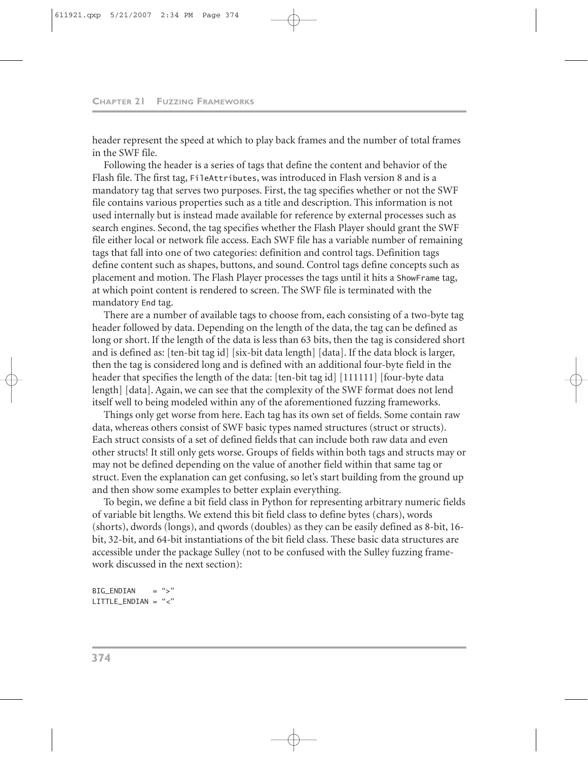header represent the speed at which to play back frames and the number of total frames in the SWF file.

Following the header is a series of tags that define the content and behavior of the Flash file. The first tag, FileAttributes, was introduced in Flash version 8 and is a mandatory tag that serves two purposes. First, the tag specifies whether or not the SWF file contains various properties such as a title and description. This information is not used internally but is instead made available for reference by external processes such as search engines. Second, the tag specifies whether the Flash Player should grant the SWF file either local or network file access. Each SWF file has a variable number of remaining tags that fall into one of two categories: definition and control tags. Definition tags define content such as shapes, buttons, and sound. Control tags define concepts such as placement and motion. The Flash Player processes the tags until it hits a ShowFrame tag, at which point content is rendered to screen. The SWF file is terminated with the mandatory End tag.

There are a number of available tags to choose from, each consisting of a two-byte tag header followed by data. Depending on the length of the data, the tag can be defined as long or short. If the length of the data is less than 63 bits, then the tag is considered short and is defined as: [ten-bit tag id] [six-bit data length] [data]. If the data block is larger, then the tag is considered long and is defined with an additional four-byte field in the header that specifies the length of the data: [ten-bit tag id] [111111] [four-byte data length] [data]. Again, we can see that the complexity of the SWF format does not lend itself well to being modeled within any of the aforementioned fuzzing frameworks.

Things only get worse from here. Each tag has its own set of fields. Some contain raw data, whereas others consist of SWF basic types named structures (struct or structs). Each struct consists of a set of defined fields that can include both raw data and even other structs! It still only gets worse. Groups of fields within both tags and structs may or may not be defined depending on the value of another field within that same tag or struct. Even the explanation can get confusing, so let's start building from the ground up and then show some examples to better explain everything.

To begin, we define a bit field class in Python for representing arbitrary numeric fields of variable bit lengths. We extend this bit field class to define bytes (chars), words (shorts), dwords (longs), and qwords (doubles) as they can be easily defined as 8-bit, 16 bit, 32-bit, and 64-bit instantiations of the bit field class. These basic data structures are accessible under the package Sulley (not to be confused with the Sulley fuzzing framework discussed in the next section):

```
BIG_ENDIAN = ">"
LITTLE_ENDIAN = "<"
```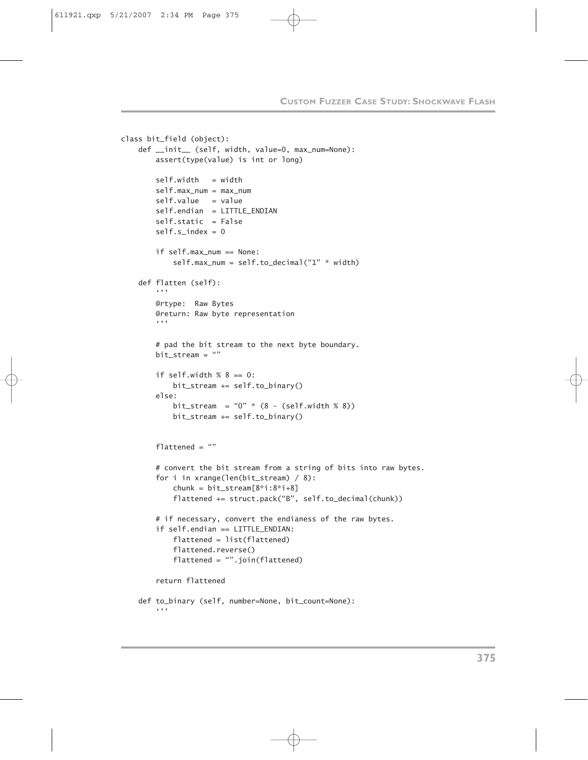```
class bit_field (object):
    def __init__ (self, width, value=0, max_num=None):
        assert(type(value) is int or long)
        self. width = widthself.max_num = max_num
        self.value = valueself.endian = LITTLE_ENDIAN
        self. static = Falseself.s index = 0if self.max_num == None:
            self.max_num = self.to_decimal("1" * width)
    def flatten (self):
        '''
        @rtype: Raw Bytes
        @return: Raw byte representation
        \cdots# pad the bit stream to the next byte boundary.
        bit\_stream = ""if self.width % = 0:
            bit_stream += self.to_binary()
        else:
            bit_stream = "0" * (8 - (selfwidth % 8))bit_stream += self.to_binary()
        flattened = ""# convert the bit stream from a string of bits into raw bytes.
        for i in xrange(len(bit_stream) / 8):
            chunk = bit\_stream[8*ii:8*ii+8]flattened += struct.pack("B", self.to_decimal(chunk))
        # if necessary, convert the endianess of the raw bytes.
        if self.endian == LITTLE_ENDIAN:
            flattened = list(flattened)
            flattened.reverse()
            flattened = "".join(flattened)
        return flattened
    def to_binary (self, number=None, bit_count=None):
        \cdots
```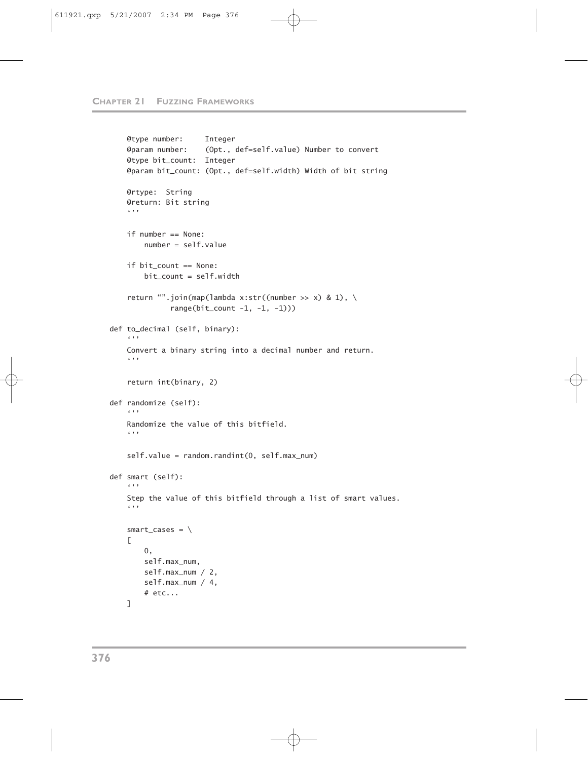```
@type number: Integer
    @param number: (Opt., def=self.value) Number to convert
    @type bit_count: Integer
    @param bit_count: (Opt., def=self.width) Width of bit string
    @rtype: String
    @return: Bit string
    \cdotsif number == None:
        number = self.value
    if bit_count == None:
        bit_count = self.width
    return "".join(map(lambda x:str((number >> x) & 1), \
              range(bit_count -1, -1, -1)))
def to_decimal (self, binary):
    \cdotsConvert a binary string into a decimal number and return.
    \cdotsreturn int(binary, 2)
def randomize (self):
    \cdotsRandomize the value of this bitfield.
    \cdotsself.value = random.randint(0, self.max_num)
def smart (self):
    \cdotsStep the value of this bitfield through a list of smart values.
    \cdotssmart\_cases = \setminus\Gamma0,
        self.max_num,
        self.max_num / 2,
        self.max_num / 4,
        # etc...
    ]
```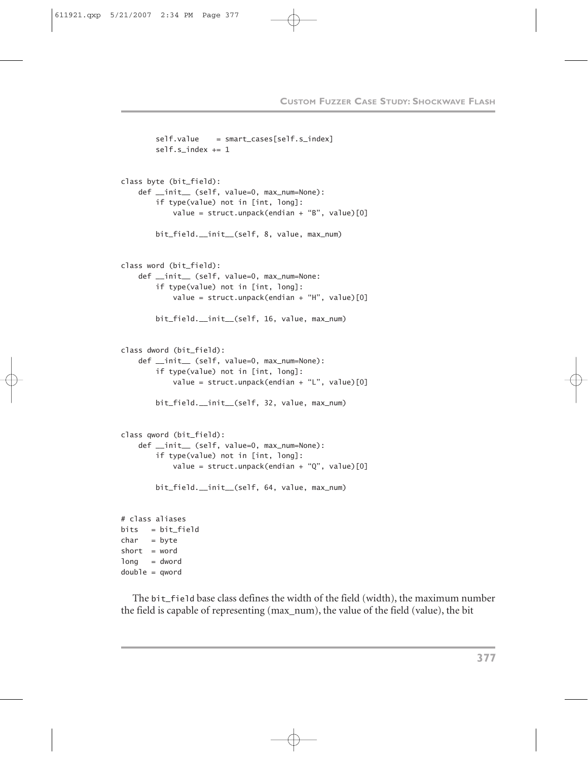```
self.value = smart_cases[self.s_index]
        self.s\_index += 1class byte (bit_field):
    def __init__ (self, value=0, max_num=None):
        if type(value) not in [int, long]:
           value = struct.unpack(endian + "B", value)[0]bit_field.__init__(self, 8, value, max_num)
class word (bit_field):
    def __init__ (self, value=0, max_num=None:
        if type(value) not in [int, long]:
           value = struct.unpack(endian + "H", value)[0]
       bit_field.__init__(self, 16, value, max_num)
class dword (bit_field):
    def __init__ (self, value=0, max_num=None):
        if type(value) not in [int, long]:
           value = struct.unpack(endian + "L", value)[0]
       bit_field.__init__(self, 32, value, max_num)
class qword (bit_field):
    def __init__ (self, value=0, max_num=None):
       if type(value) not in [int, long]:
           value = struct.unpack(endian + "Q", value)[0]bit_field.__init__(self, 64, value, max_num)
# class aliases
bits = bit_field
char = byteshort = wordlong = dworddouble = qword
```
The bit\_field base class defines the width of the field (width), the maximum number the field is capable of representing (max\_num), the value of the field (value), the bit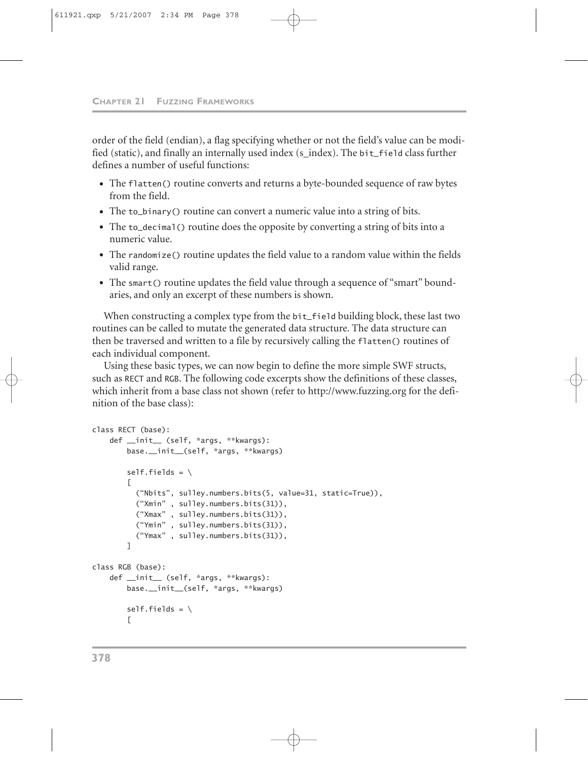order of the field (endian), a flag specifying whether or not the field's value can be modified (static), and finally an internally used index (s\_index). The bit\_field class further defines a number of useful functions:

- The flatten() routine converts and returns a byte-bounded sequence of raw bytes from the field.
- The to\_binary() routine can convert a numeric value into a string of bits.
- The to\_decimal() routine does the opposite by converting a string of bits into a numeric value.
- The randomize() routine updates the field value to a random value within the fields valid range.
- The smart() routine updates the field value through a sequence of "smart" boundaries, and only an excerpt of these numbers is shown.

When constructing a complex type from the bit\_field building block, these last two routines can be called to mutate the generated data structure. The data structure can then be traversed and written to a file by recursively calling the flatten() routines of each individual component.

Using these basic types, we can now begin to define the more simple SWF structs, such as RECT and RGB. The following code excerpts show the definitions of these classes, which inherit from a base class not shown (refer to http://www.fuzzing.org for the definition of the base class):

```
class RECT (base):
    def __init__ (self, *args, **kwargs):
        base.__init__(self, *args, **kwargs)
        self.fields = \setminus[
          ("Nbits", sulley.numbers.bits(5, value=31, static=True)),
          ("Xmin" , sulley.numbers.bits(31)),
          ("Xmax" , sulley.numbers.bits(31)),
          ("Ymin" , sulley.numbers.bits(31)),
          ("Ymax" , sulley.numbers.bits(31)),
        ]
class RGB (base):
    def __init__ (self, *args, **kwargs):
        base.__init__(self, *args, **kwargs)
        self.fields = \setminus\Gamma
```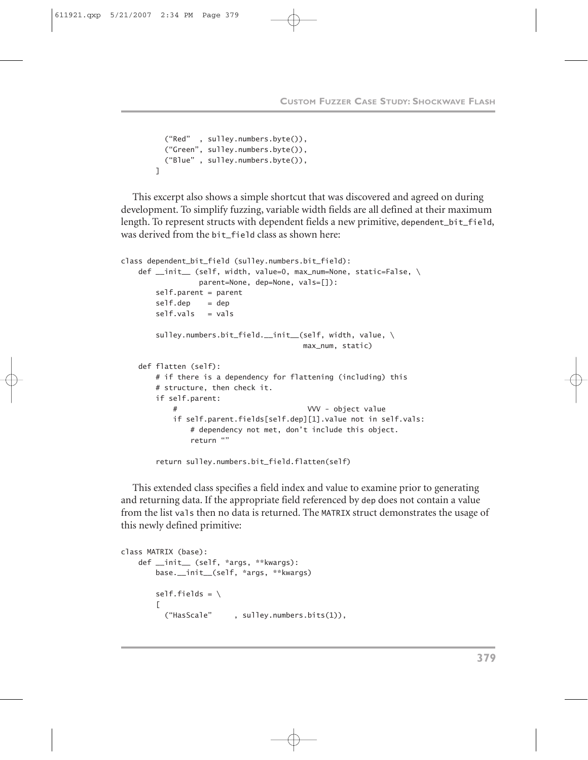```
("Red" , sulley.numbers.byte()),
  ("Green", sulley.numbers.byte()),
  ("Blue" , sulley.numbers.byte()),
]
```
This excerpt also shows a simple shortcut that was discovered and agreed on during development. To simplify fuzzing, variable width fields are all defined at their maximum length. To represent structs with dependent fields a new primitive, dependent\_bit\_field, was derived from the bit\_field class as shown here:

```
class dependent_bit_field (sulley.numbers.bit_field):
   def __init__ (self, width, value=0, max_num=None, static=False, \
                 parent=None, dep=None, vals=[]):
       self.parent = parentself.dep = depself.vals = vals
       sulley.numbers.bit_field.__init__(self, width, value, \
                                        max_num, static)
   def flatten (self):
       # if there is a dependency for flattening (including) this
       # structure, then check it.
       if self.parent:
           # VVV - object value
           if self.parent.fields[self.dep][1].value not in self.vals:
               # dependency not met, don't include this object.
               return ""
       return sulley.numbers.bit_field.flatten(self)
```
This extended class specifies a field index and value to examine prior to generating and returning data. If the appropriate field referenced by dep does not contain a value from the list vals then no data is returned. The MATRIX struct demonstrates the usage of this newly defined primitive:

```
class MATRIX (base):
    def __init__ (self, *args, **kwargs):
        base.__init__(self, *args, **kwargs)
        self.fields = \setminus\Gamma("HasScale" , sulley.numbers.bits(1)),
```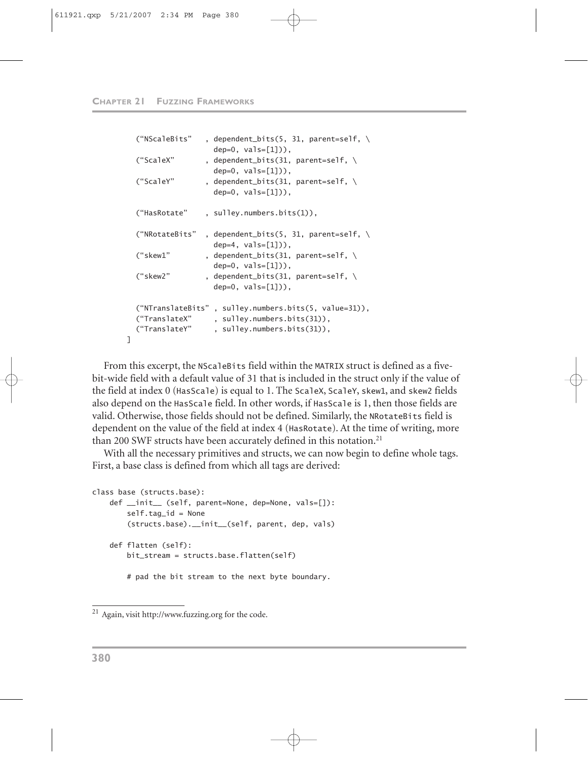```
("NScaleBits" , dependent_bits(5, 31, parent=self, \
                 dep=0, vals=[1])),
("ScaleX" , dependent_bits(31, parent=self, \
                 dep=0, vals=[1])),
("ScaleY" , dependent\_bits(31, parent=self, \n\)dep=0, vals=[1]),
("HasRotate" , sulley.numbers.bits(1)),
("NRotateBits" , dependent_bits(5, 31, parent=self, \
                 dep=4, vals=[1])),
("skew1" , dependent\_bits(31, parent=self, \n\)dep=0, vals=[1])),
("skew2" , dependent\_bits(31, parent=self, \setminusdep=0, vals=[1])),
("NTranslateBits" , sulley.numbers.bits(5, value=31)),
("TranslateX" , sulley.numbers.bits(31)),
("TranslateY" , sulley.numbers.bits(31)),
```
From this excerpt, the NScaleBits field within the MATRIX struct is defined as a fivebit-wide field with a default value of 31 that is included in the struct only if the value of the field at index 0 (HasScale) is equal to 1. The ScaleX, ScaleY, skew1, and skew2 fields also depend on the HasScale field. In other words, if HasScale is 1, then those fields are valid. Otherwise, those fields should not be defined. Similarly, the NRotateBits field is dependent on the value of the field at index 4 (HasRotate). At the time of writing, more than 200 SWF structs have been accurately defined in this notation.<sup>21</sup>

With all the necessary primitives and structs, we can now begin to define whole tags. First, a base class is defined from which all tags are derived:

```
class base (structs.base):
    def __init__ (self, parent=None, dep=None, vals=[]):
        self.tag_id = None
        (structs.base).__init__(self, parent, dep, vals)
    def flatten (self):
        bit_stream = structs.base.flatten(self)
        # pad the bit stream to the next byte boundary.
```
]

<sup>21</sup> Again, visit http://www.fuzzing.org for the code.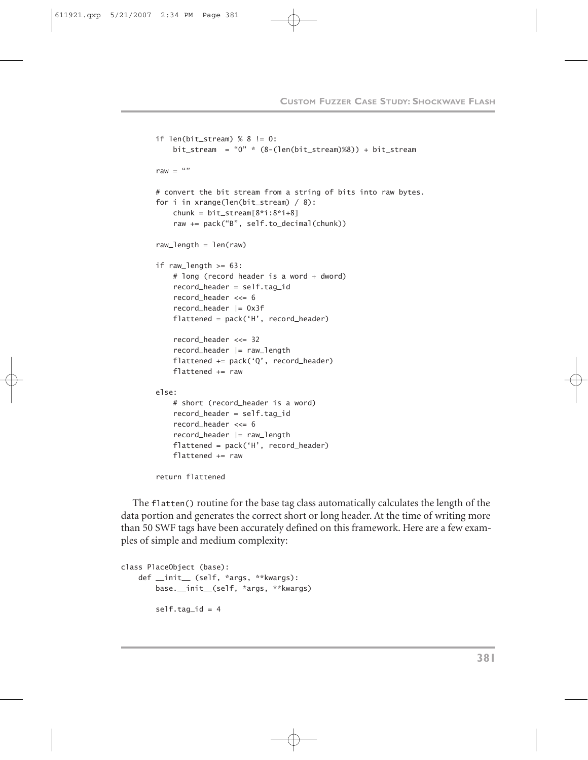```
if len(bit stream) % 8 != 0:
    bit\_stream = "0" * (8-(len(bit\_stream)%) + bit\_streamraw = ""
# convert the bit stream from a string of bits into raw bytes.
for i in xrange(len(bit_stream) / 8):
    chunk = bit_stream[8*i:8*i+8]
    raw += pack("B", self.to_decimal(chunk))
raw_length = len(raw)if raw_length \ge 63:
    # long (record header is a word + dword)
    record_header = self.tag_id
    record header \ll= 6record_header |= 0x3f
    flattened = pack('H', record_header)
    record_header <<= 32
    record_header |= raw_length
    flattened += pack('Q', record_header)
    flattened += raw 
else:
    # short (record_header is a word)
    record_header = self.tag_id
    record header \ll= 6record_header |= raw_length
    flattened = pack('H', record_header)
    flattened += raw
return flattened
```
The flatten() routine for the base tag class automatically calculates the length of the data portion and generates the correct short or long header. At the time of writing more than 50 SWF tags have been accurately defined on this framework. Here are a few examples of simple and medium complexity:

```
class PlaceObject (base):
    def __init__ (self, *args, **kwargs):
        base.__init__(self, *args, **kwargs)
        self.taq_id = 4
```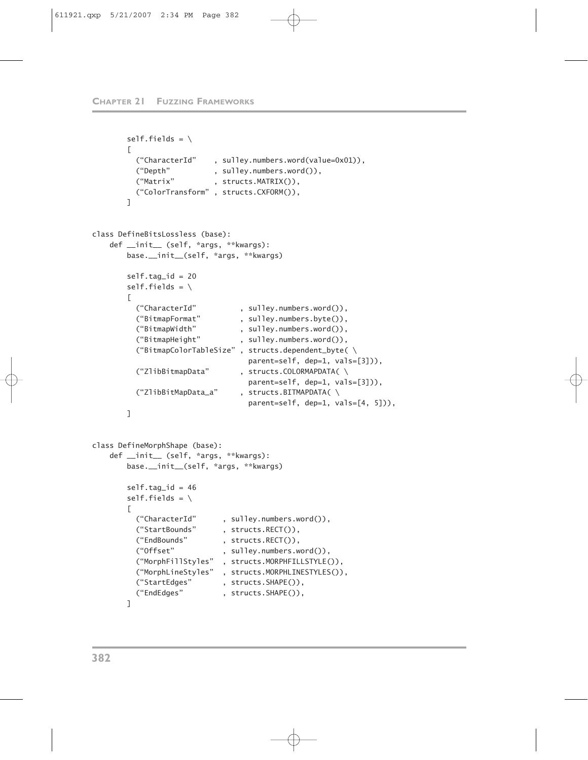```
self.fields = \setminus\lceil("CharacterId" , sulley.numbers.word(value=0x01)),
         ("Depth" , sulley.numbers.word()),
         ("Matrix" , structs.MATRIX()),
         ("ColorTransform" , structs.CXFORM()),
       ]
class DefineBitsLossless (base):
   def __init__ (self, *args, **kwargs):
       base.__init__(self, *args, **kwargs)
       self.tag_id = 20self.fields = \lambda\Gamma("CharacterId" , sulley.numbers.word()),
         ("BitmapFormat" , sulley.numbers.byte()),
         ("BitmapWidth" , sulley.numbers.word()),
         ("BitmapHeight" , sulley.numbers.word()),
         ("BitmapColorTableSize" , structs.dependent_byte( \
                                  parent=self, dep=1, vals=[3])),
         ("ZlibBitmapData" , structs.COLORMAPDATA( \
                                  parent=self, dep=1, vals=[3])),
         ("ZlibBitMapData_a" , structs.BITMAPDATA( \
                                  parent=self, dep=1, vals=[4, 5])),
       ]
class DefineMorphShape (base):
   def __init__ (self, *args, **kwargs):
       base.__init__(self, *args, **kwargs)
       self.taq_id = 46self.fields = \setminus\Gamma("CharacterId" , sulley.numbers.word()),
         ("StartBounds" , structs.RECT()),
         ("EndBounds" , structs.RECT()),
         ("Offset" , sulley.numbers.word()),
         ("MorphFillStyles" , structs.MORPHFILLSTYLE()),
         ("MorphLineStyles" , structs.MORPHLINESTYLES()),
         ("StartEdges" , structs.SHAPE()),
         ("EndEdges" , structs.SHAPE()),
       ]
```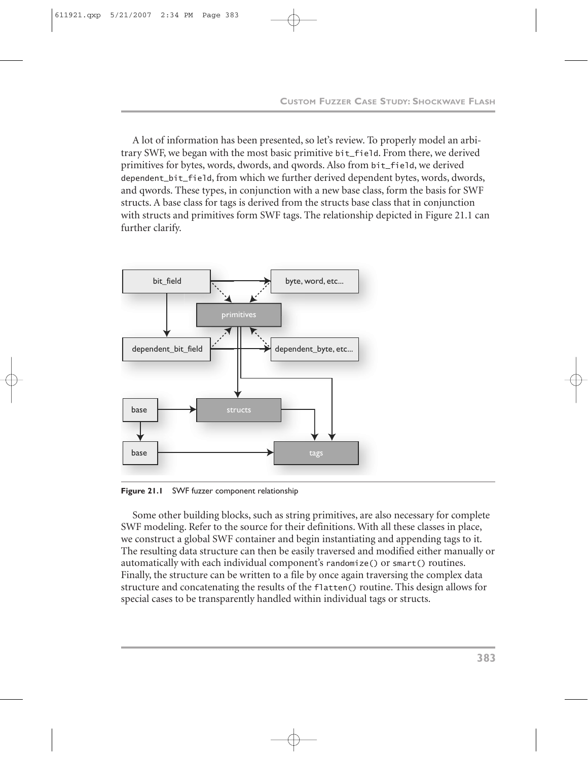A lot of information has been presented, so let's review. To properly model an arbitrary SWF, we began with the most basic primitive bit\_field. From there, we derived primitives for bytes, words, dwords, and qwords. Also from bit\_field, we derived dependent\_bit\_field, from which we further derived dependent bytes, words, dwords, and qwords. These types, in conjunction with a new base class, form the basis for SWF structs. A base class for tags is derived from the structs base class that in conjunction with structs and primitives form SWF tags. The relationship depicted in Figure 21.1 can further clarify.



**Figure 21.1** SWF fuzzer component relationship

Some other building blocks, such as string primitives, are also necessary for complete SWF modeling. Refer to the source for their definitions. With all these classes in place, we construct a global SWF container and begin instantiating and appending tags to it. The resulting data structure can then be easily traversed and modified either manually or automatically with each individual component's randomize() or smart() routines. Finally, the structure can be written to a file by once again traversing the complex data structure and concatenating the results of the flatten() routine. This design allows for special cases to be transparently handled within individual tags or structs.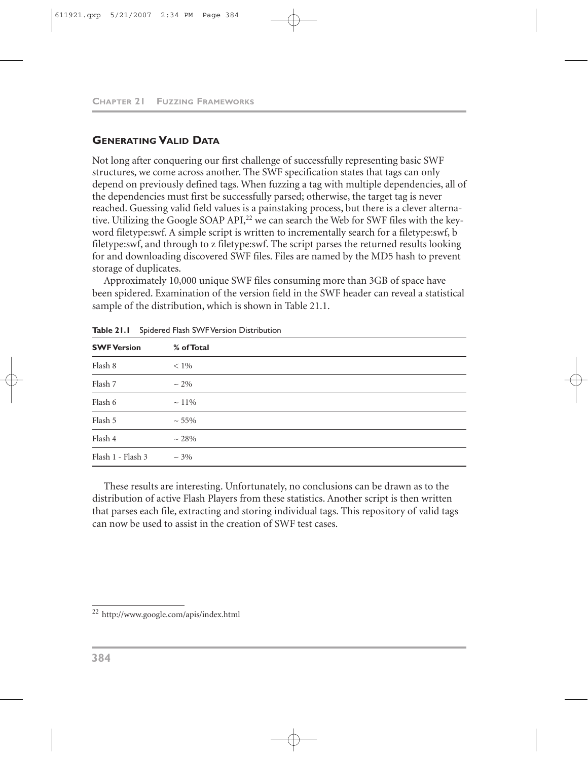## **GENERATING VALID DATA**

Not long after conquering our first challenge of successfully representing basic SWF structures, we come across another. The SWF specification states that tags can only depend on previously defined tags. When fuzzing a tag with multiple dependencies, all of the dependencies must first be successfully parsed; otherwise, the target tag is never reached. Guessing valid field values is a painstaking process, but there is a clever alternative. Utilizing the Google SOAP API,<sup>22</sup> we can search the Web for SWF files with the keyword filetype:swf. A simple script is written to incrementally search for a filetype:swf, b filetype:swf, and through to z filetype:swf. The script parses the returned results looking for and downloading discovered SWF files. Files are named by the MD5 hash to prevent storage of duplicates.

Approximately 10,000 unique SWF files consuming more than 3GB of space have been spidered. Examination of the version field in the SWF header can reveal a statistical sample of the distribution, which is shown in Table 21.1.

| <b>SWF Version</b> | % of Total    |  |
|--------------------|---------------|--|
| Flash 8            | $< 1\%$       |  |
| Flash 7            | $~10^{-20}$   |  |
| Flash 6            | $\sim 11\%$   |  |
| Flash 5            | $~1.55\%$     |  |
| Flash 4            | $~10^{-28\%}$ |  |
| Flash 1 - Flash 3  | $\sim 3\%$    |  |

**Table 21.1** Spidered Flash SWF Version Distribution

These results are interesting. Unfortunately, no conclusions can be drawn as to the distribution of active Flash Players from these statistics. Another script is then written that parses each file, extracting and storing individual tags. This repository of valid tags can now be used to assist in the creation of SWF test cases.

<sup>22</sup> http://www.google.com/apis/index.html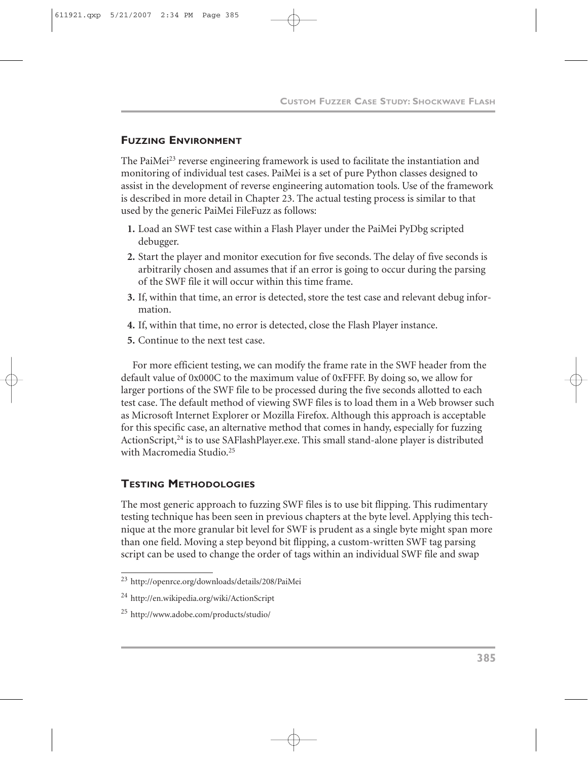## **FUZZING ENVIRONMENT**

The PaiMei<sup>23</sup> reverse engineering framework is used to facilitate the instantiation and monitoring of individual test cases. PaiMei is a set of pure Python classes designed to assist in the development of reverse engineering automation tools. Use of the framework is described in more detail in Chapter 23. The actual testing process is similar to that used by the generic PaiMei FileFuzz as follows:

- **1.** Load an SWF test case within a Flash Player under the PaiMei PyDbg scripted debugger.
- **2.** Start the player and monitor execution for five seconds. The delay of five seconds is arbitrarily chosen and assumes that if an error is going to occur during the parsing of the SWF file it will occur within this time frame.
- **3.** If, within that time, an error is detected, store the test case and relevant debug information.
- **4.** If, within that time, no error is detected, close the Flash Player instance.
- **5.** Continue to the next test case.

For more efficient testing, we can modify the frame rate in the SWF header from the default value of 0x000C to the maximum value of 0xFFFF. By doing so, we allow for larger portions of the SWF file to be processed during the five seconds allotted to each test case. The default method of viewing SWF files is to load them in a Web browser such as Microsoft Internet Explorer or Mozilla Firefox. Although this approach is acceptable for this specific case, an alternative method that comes in handy, especially for fuzzing ActionScript,24 is to use SAFlashPlayer.exe. This small stand-alone player is distributed with Macromedia Studio.<sup>25</sup>

## **TESTING METHODOLOGIES**

The most generic approach to fuzzing SWF files is to use bit flipping. This rudimentary testing technique has been seen in previous chapters at the byte level. Applying this technique at the more granular bit level for SWF is prudent as a single byte might span more than one field. Moving a step beyond bit flipping, a custom-written SWF tag parsing script can be used to change the order of tags within an individual SWF file and swap

<sup>23</sup> http://openrce.org/downloads/details/208/PaiMei

<sup>24</sup> http://en.wikipedia.org/wiki/ActionScript

<sup>25</sup> http://www.adobe.com/products/studio/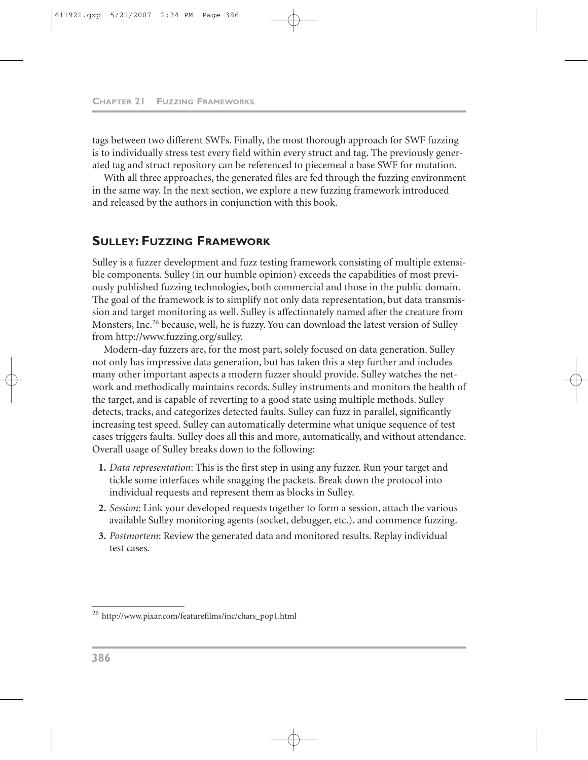tags between two different SWFs. Finally, the most thorough approach for SWF fuzzing is to individually stress test every field within every struct and tag. The previously generated tag and struct repository can be referenced to piecemeal a base SWF for mutation.

With all three approaches, the generated files are fed through the fuzzing environment in the same way. In the next section, we explore a new fuzzing framework introduced and released by the authors in conjunction with this book.

## **SULLEY: FUZZING FRAMEWORK**

Sulley is a fuzzer development and fuzz testing framework consisting of multiple extensible components. Sulley (in our humble opinion) exceeds the capabilities of most previously published fuzzing technologies, both commercial and those in the public domain. The goal of the framework is to simplify not only data representation, but data transmission and target monitoring as well. Sulley is affectionately named after the creature from Monsters, Inc.26 because, well, he is fuzzy. You can download the latest version of Sulley from http://www.fuzzing.org/sulley.

Modern-day fuzzers are, for the most part, solely focused on data generation. Sulley not only has impressive data generation, but has taken this a step further and includes many other important aspects a modern fuzzer should provide. Sulley watches the network and methodically maintains records. Sulley instruments and monitors the health of the target, and is capable of reverting to a good state using multiple methods. Sulley detects, tracks, and categorizes detected faults. Sulley can fuzz in parallel, significantly increasing test speed. Sulley can automatically determine what unique sequence of test cases triggers faults. Sulley does all this and more, automatically, and without attendance. Overall usage of Sulley breaks down to the following:

- **1.** *Data representation*: This is the first step in using any fuzzer. Run your target and tickle some interfaces while snagging the packets. Break down the protocol into individual requests and represent them as blocks in Sulley.
- **2.** *Session*: Link your developed requests together to form a session, attach the various available Sulley monitoring agents (socket, debugger, etc.), and commence fuzzing.
- **3.** *Postmortem*: Review the generated data and monitored results. Replay individual test cases.

<sup>26</sup> http://www.pixar.com/featurefilms/inc/chars\_pop1.html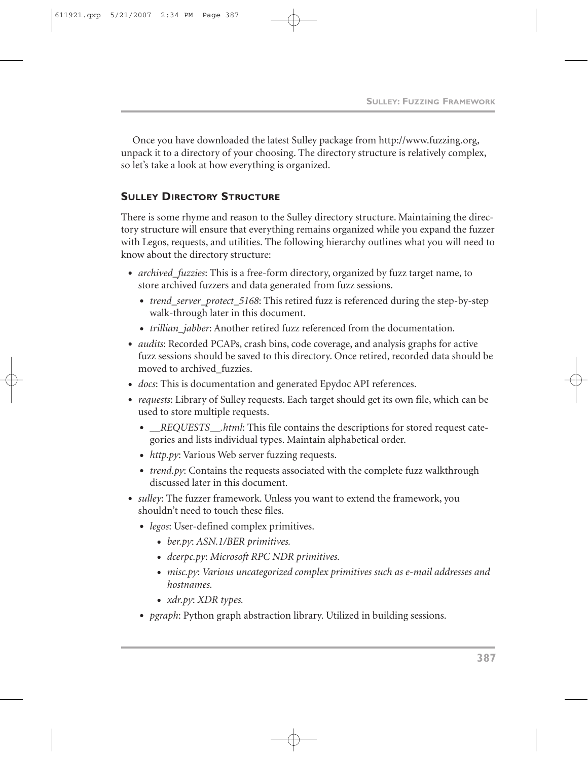Once you have downloaded the latest Sulley package from http://www.fuzzing.org, unpack it to a directory of your choosing. The directory structure is relatively complex, so let's take a look at how everything is organized.

## **SULLEY DIRECTORY STRUCTURE**

There is some rhyme and reason to the Sulley directory structure. Maintaining the directory structure will ensure that everything remains organized while you expand the fuzzer with Legos, requests, and utilities. The following hierarchy outlines what you will need to know about the directory structure:

- *archived\_fuzzies*: This is a free-form directory, organized by fuzz target name, to store archived fuzzers and data generated from fuzz sessions.
	- *trend\_server\_protect\_5168*: This retired fuzz is referenced during the step-by-step walk-through later in this document.
	- *trillian jabber*: Another retired fuzz referenced from the documentation.
- *audits*: Recorded PCAPs, crash bins, code coverage, and analysis graphs for active fuzz sessions should be saved to this directory. Once retired, recorded data should be moved to archived\_fuzzies.
- *docs*: This is documentation and generated Epydoc API references.
- *requests*: Library of Sulley requests. Each target should get its own file, which can be used to store multiple requests.
	- *REQUESTS .html*: This file contains the descriptions for stored request categories and lists individual types. Maintain alphabetical order.
	- *http.py*: Various Web server fuzzing requests.
	- *trend.py*: Contains the requests associated with the complete fuzz walkthrough discussed later in this document.
- *sulley*: The fuzzer framework. Unless you want to extend the framework, you shouldn't need to touch these files.
	- *legos*: User-defined complex primitives.
		- *ber.py*: *ASN.1/BER primitives.*
		- *dcerpc.py*: *Microsoft RPC NDR primitives.*
		- *misc.py*: *Various uncategorized complex primitives such as e-mail addresses and hostnames.*
		- *xdr.py*: *XDR types.*
	- *pgraph*: Python graph abstraction library. Utilized in building sessions.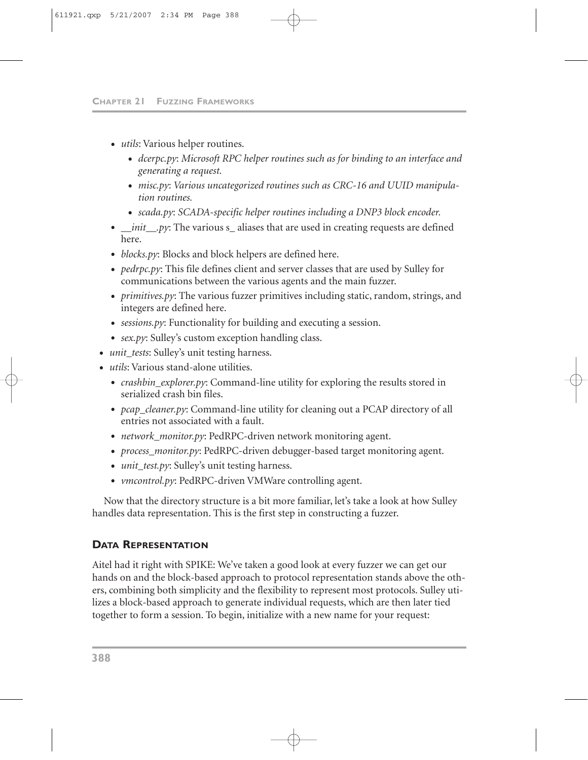- *utils*: Various helper routines.
	- *dcerpc.py*: *Microsoft RPC helper routines such as for binding to an interface and generating a request.*
	- *misc.py*: *Various uncategorized routines such as CRC-16 and UUID manipulation routines.*
	- *scada.py*: *SCADA-specific helper routines including a DNP3 block encoder.*
- *\_\_init\_\_.py*: The various s\_ aliases that are used in creating requests are defined here.
- *blocks.py*: Blocks and block helpers are defined here.
- *pedrpc.py*: This file defines client and server classes that are used by Sulley for communications between the various agents and the main fuzzer.
- *primitives.py*: The various fuzzer primitives including static, random, strings, and integers are defined here.
- *sessions.py*: Functionality for building and executing a session.
- *sex.py*: Sulley's custom exception handling class.
- *unit\_tests*: Sulley's unit testing harness.
- *utils*: Various stand-alone utilities.
	- *crashbin\_explorer.py*: Command-line utility for exploring the results stored in serialized crash bin files.
	- *pcap\_cleaner.py*: Command-line utility for cleaning out a PCAP directory of all entries not associated with a fault.
	- *network\_monitor.py*: PedRPC-driven network monitoring agent.
	- *process\_monitor.py*: PedRPC-driven debugger-based target monitoring agent.
	- *unit\_test.py*: Sulley's unit testing harness.
	- *vmcontrol.py*: PedRPC-driven VMWare controlling agent.

Now that the directory structure is a bit more familiar, let's take a look at how Sulley handles data representation. This is the first step in constructing a fuzzer.

#### **DATA REPRESENTATION**

Aitel had it right with SPIKE: We've taken a good look at every fuzzer we can get our hands on and the block-based approach to protocol representation stands above the others, combining both simplicity and the flexibility to represent most protocols. Sulley utilizes a block-based approach to generate individual requests, which are then later tied together to form a session. To begin, initialize with a new name for your request: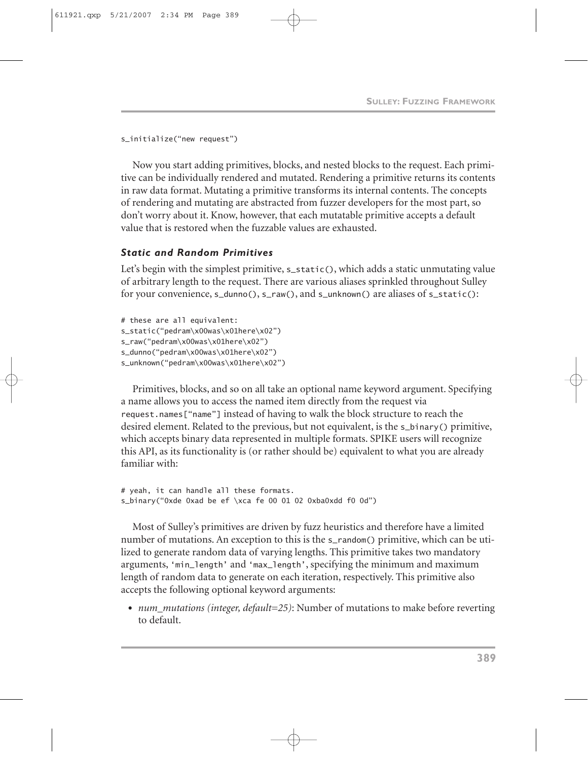```
s_initialize("new request")
```
Now you start adding primitives, blocks, and nested blocks to the request. Each primitive can be individually rendered and mutated. Rendering a primitive returns its contents in raw data format. Mutating a primitive transforms its internal contents. The concepts of rendering and mutating are abstracted from fuzzer developers for the most part, so don't worry about it. Know, however, that each mutatable primitive accepts a default value that is restored when the fuzzable values are exhausted.

#### *Static and Random Primitives*

Let's begin with the simplest primitive, s\_static(), which adds a static unmutating value of arbitrary length to the request. There are various aliases sprinkled throughout Sulley for your convenience, s\_dunno(), s\_raw(), and s\_unknown() are aliases of s\_static():

```
# these are all equivalent:
s_static("pedram\x00was\x01here\x02")
s_raw("pedram\x00was\x01here\x02")
s_dunno("pedram\x00was\x01here\x02")
s_unknown("pedram\x00was\x01here\x02")
```
Primitives, blocks, and so on all take an optional name keyword argument. Specifying a name allows you to access the named item directly from the request via request.names["name"] instead of having to walk the block structure to reach the desired element. Related to the previous, but not equivalent, is the s\_binary() primitive, which accepts binary data represented in multiple formats. SPIKE users will recognize this API, as its functionality is (or rather should be) equivalent to what you are already familiar with:

```
# yeah, it can handle all these formats.
s_binary("0xde 0xad be ef \xca fe 00 01 02 0xba0xdd f0 0d")
```
Most of Sulley's primitives are driven by fuzz heuristics and therefore have a limited number of mutations. An exception to this is the s\_random() primitive, which can be utilized to generate random data of varying lengths. This primitive takes two mandatory arguments, 'min\_length' and 'max\_length', specifying the minimum and maximum length of random data to generate on each iteration, respectively. This primitive also accepts the following optional keyword arguments:

• *num\_mutations (integer, default=25)*: Number of mutations to make before reverting to default.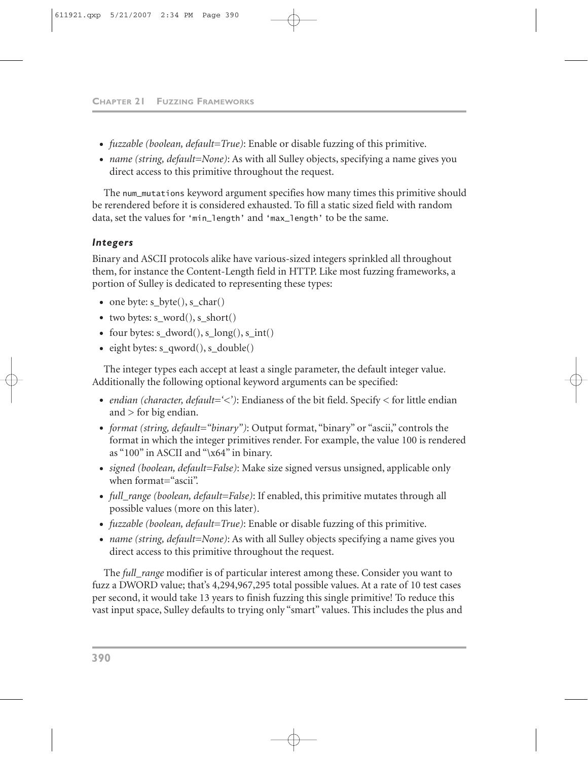- *fuzzable (boolean, default=True)*: Enable or disable fuzzing of this primitive.
- *name (string, default=None)*: As with all Sulley objects, specifying a name gives you direct access to this primitive throughout the request.

The num\_mutations keyword argument specifies how many times this primitive should be rerendered before it is considered exhausted. To fill a static sized field with random data, set the values for 'min\_length' and 'max\_length' to be the same.

#### *Integers*

Binary and ASCII protocols alike have various-sized integers sprinkled all throughout them, for instance the Content-Length field in HTTP. Like most fuzzing frameworks, a portion of Sulley is dedicated to representing these types:

- one byte:  $s_b(yte), s_cchar()$
- two bytes: s\_word(), s\_short()
- four bytes:  $s_dword(), s_long(), s_lint()$
- eight bytes: s\_qword(), s\_double()

The integer types each accept at least a single parameter, the default integer value. Additionally the following optional keyword arguments can be specified:

- *endian (character, default='<')*: Endianess of the bit field. Specify < for little endian and > for big endian.
- *format (string, default="binary")*: Output format, "binary" or "ascii," controls the format in which the integer primitives render. For example, the value 100 is rendered as "100" in ASCII and "\x64" in binary.
- *signed (boolean, default=False)*: Make size signed versus unsigned, applicable only when format="ascii".
- *full\_range (boolean, default=False)*: If enabled, this primitive mutates through all possible values (more on this later).
- *fuzzable (boolean, default=True)*: Enable or disable fuzzing of this primitive.
- *name (string, default=None)*: As with all Sulley objects specifying a name gives you direct access to this primitive throughout the request.

The *full\_range* modifier is of particular interest among these. Consider you want to fuzz a DWORD value; that's 4,294,967,295 total possible values. At a rate of 10 test cases per second, it would take 13 years to finish fuzzing this single primitive! To reduce this vast input space, Sulley defaults to trying only "smart" values. This includes the plus and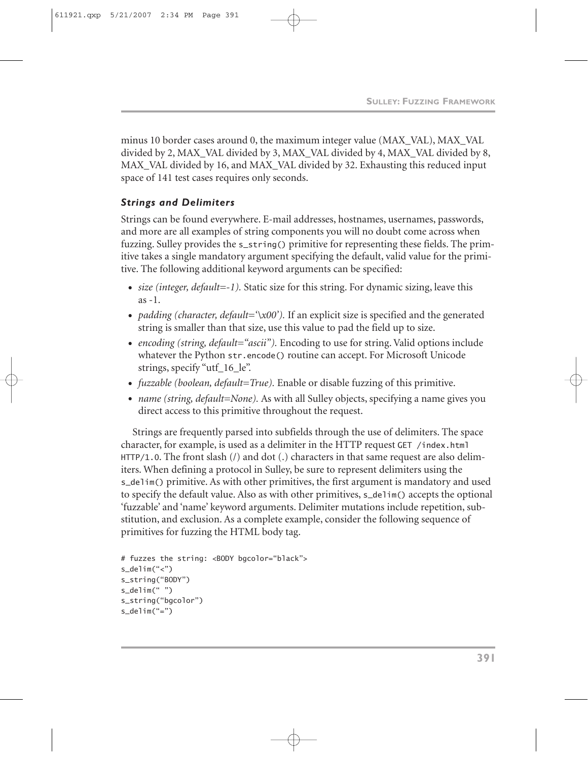minus 10 border cases around 0, the maximum integer value (MAX\_VAL), MAX\_VAL divided by 2, MAX\_VAL divided by 3, MAX\_VAL divided by 4, MAX\_VAL divided by 8, MAX\_VAL divided by 16, and MAX\_VAL divided by 32. Exhausting this reduced input space of 141 test cases requires only seconds.

## *Strings and Delimiters*

Strings can be found everywhere. E-mail addresses, hostnames, usernames, passwords, and more are all examples of string components you will no doubt come across when fuzzing. Sulley provides the s\_string() primitive for representing these fields. The primitive takes a single mandatory argument specifying the default, valid value for the primitive. The following additional keyword arguments can be specified:

- *size (integer, default*=-1). Static size for this string. For dynamic sizing, leave this as -1.
- *padding (character, default='\x00')*. If an explicit size is specified and the generated string is smaller than that size, use this value to pad the field up to size.
- *encoding (string, default="ascii")*. Encoding to use for string. Valid options include whatever the Python str.encode() routine can accept. For Microsoft Unicode strings, specify "utf\_16\_le".
- *fuzzable (boolean, default=True).* Enable or disable fuzzing of this primitive.
- *name (string, default=None)*. As with all Sulley objects, specifying a name gives you direct access to this primitive throughout the request.

Strings are frequently parsed into subfields through the use of delimiters. The space character, for example, is used as a delimiter in the HTTP request GET /index.html  $HTP/1.0.$  The front slash (/) and dot (.) characters in that same request are also delimiters. When defining a protocol in Sulley, be sure to represent delimiters using the s\_delim() primitive. As with other primitives, the first argument is mandatory and used to specify the default value. Also as with other primitives, s\_delim() accepts the optional 'fuzzable' and 'name' keyword arguments. Delimiter mutations include repetition, substitution, and exclusion. As a complete example, consider the following sequence of primitives for fuzzing the HTML body tag.

```
# fuzzes the string: <BODY bgcolor="black">
s_delim("<")
s_string("BODY")
s_delim(" ")
s_string("bgcolor")
s_delim("=")
```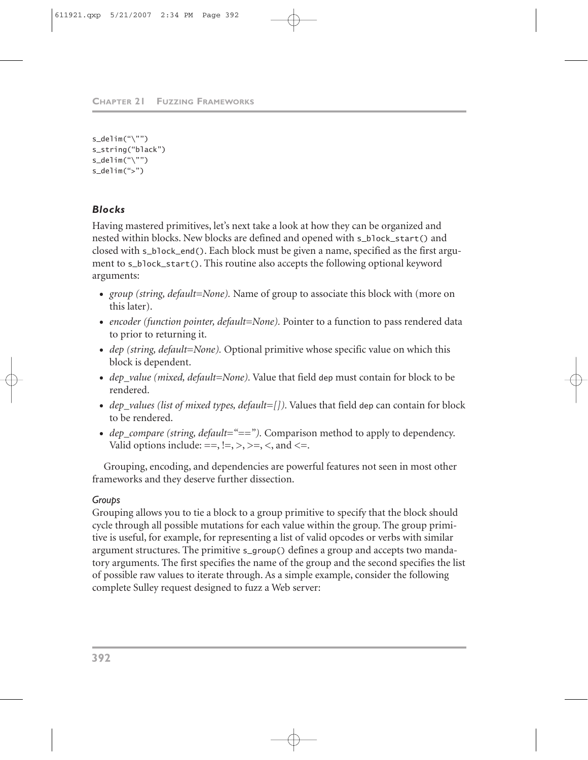s  $delim("\\"")$ s\_string("black")  $s$ <sup>delim("\"")</sup> s\_delim(">")

## *Blocks*

Having mastered primitives, let's next take a look at how they can be organized and nested within blocks. New blocks are defined and opened with s\_block\_start() and closed with s\_block\_end(). Each block must be given a name, specified as the first argument to s\_block\_start(). This routine also accepts the following optional keyword arguments:

- *group (string, default=None).* Name of group to associate this block with (more on this later).
- *encoder (function pointer, default=None)*. Pointer to a function to pass rendered data to prior to returning it.
- *dep (string, default=None)*. Optional primitive whose specific value on which this block is dependent.
- *dep* value (mixed, default=None). Value that field dep must contain for block to be rendered.
- *dep\_values (list of mixed types, default=[]).* Values that field dep can contain for block to be rendered.
- *dep* compare (string, default="=="). Comparison method to apply to dependency. Valid options include:  $==, !=, >, >=, <, and <=.$

Grouping, encoding, and dependencies are powerful features not seen in most other frameworks and they deserve further dissection.

#### *Groups*

Grouping allows you to tie a block to a group primitive to specify that the block should cycle through all possible mutations for each value within the group. The group primitive is useful, for example, for representing a list of valid opcodes or verbs with similar argument structures. The primitive s\_group() defines a group and accepts two mandatory arguments. The first specifies the name of the group and the second specifies the list of possible raw values to iterate through. As a simple example, consider the following complete Sulley request designed to fuzz a Web server: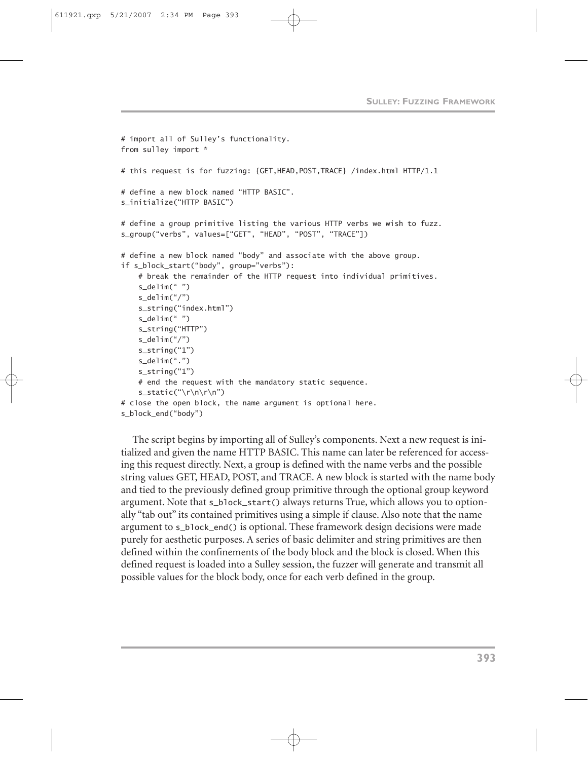```
# import all of Sulley's functionality.
from sulley import *
# this request is for fuzzing: {GET,HEAD,POST,TRACE} /index.html HTTP/1.1
# define a new block named "HTTP BASIC".
s_initialize("HTTP BASIC")
# define a group primitive listing the various HTTP verbs we wish to fuzz.
s_group("verbs", values=["GET", "HEAD", "POST", "TRACE"])
# define a new block named "body" and associate with the above group.
if s_block_start("body", group="verbs"):
    # break the remainder of the HTTP request into individual primitives.
    s_delim(" ")
    s_delim("/")
    s_string("index.html")
    s_delim(" ")
    s_string("HTTP")
    s_delim("/")
    s_string("1")
    s_delim(".")
    s_string("1")
    # end the request with the mandatory static sequence.
    s_static("\r\n\r\n")
# close the open block, the name argument is optional here.
s_block_end("body")
```
The script begins by importing all of Sulley's components. Next a new request is initialized and given the name HTTP BASIC. This name can later be referenced for accessing this request directly. Next, a group is defined with the name verbs and the possible string values GET, HEAD, POST, and TRACE. A new block is started with the name body and tied to the previously defined group primitive through the optional group keyword argument. Note that s\_block\_start() always returns True, which allows you to optionally "tab out" its contained primitives using a simple if clause. Also note that the name argument to s\_block\_end() is optional. These framework design decisions were made purely for aesthetic purposes. A series of basic delimiter and string primitives are then defined within the confinements of the body block and the block is closed. When this defined request is loaded into a Sulley session, the fuzzer will generate and transmit all possible values for the block body, once for each verb defined in the group.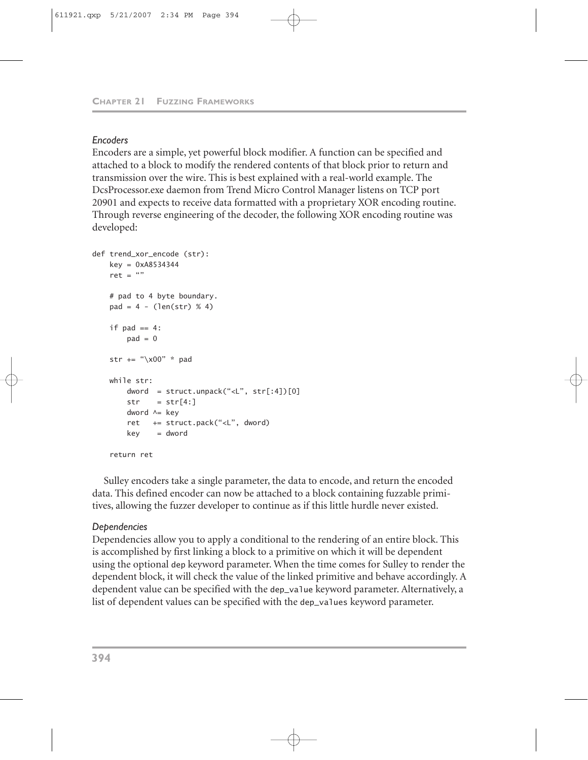#### *Encoders*

Encoders are a simple, yet powerful block modifier. A function can be specified and attached to a block to modify the rendered contents of that block prior to return and transmission over the wire. This is best explained with a real-world example. The DcsProcessor.exe daemon from Trend Micro Control Manager listens on TCP port 20901 and expects to receive data formatted with a proprietary XOR encoding routine. Through reverse engineering of the decoder, the following XOR encoding routine was developed:

```
def trend_xor_encode (str):
    key = 0xA8534344
    ret = \mathbf{u}"
    # pad to 4 byte boundary.
    pad = 4 - (len(str) % 4)if pad == 4:
        pad = 0str += "\times00" * pad
    while str:
        dword = struct.unpack("<L", str[:4])[0]
        str = str[4:]dword \wedge = \text{key}ret += struct.pack("<L", dword)
        key = dword
    return ret
```
Sulley encoders take a single parameter, the data to encode, and return the encoded data. This defined encoder can now be attached to a block containing fuzzable primitives, allowing the fuzzer developer to continue as if this little hurdle never existed.

#### *Dependencies*

Dependencies allow you to apply a conditional to the rendering of an entire block. This is accomplished by first linking a block to a primitive on which it will be dependent using the optional dep keyword parameter. When the time comes for Sulley to render the dependent block, it will check the value of the linked primitive and behave accordingly. A dependent value can be specified with the dep\_value keyword parameter. Alternatively, a list of dependent values can be specified with the dep\_values keyword parameter.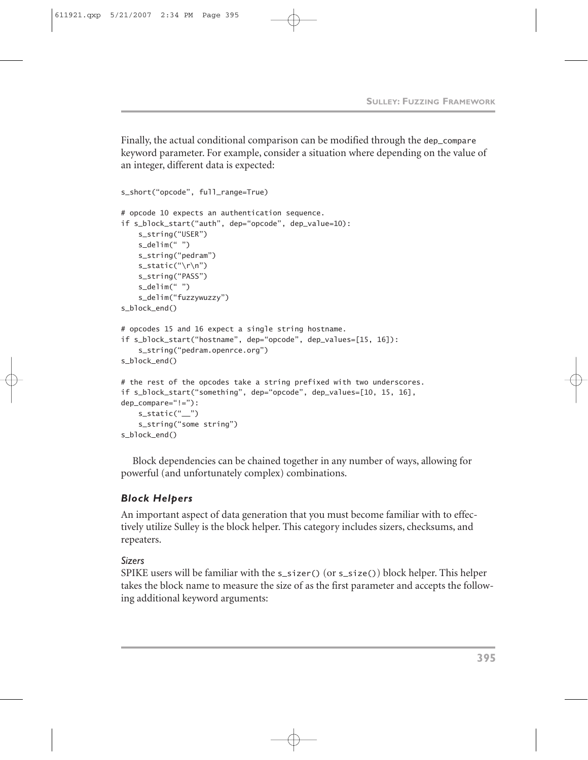Finally, the actual conditional comparison can be modified through the dep\_compare keyword parameter. For example, consider a situation where depending on the value of an integer, different data is expected:

```
s_short("opcode", full_range=True)
# opcode 10 expects an authentication sequence.
if s_block_start("auth", dep="opcode", dep_value=10):
    s_string("USER")
    s_delim(" ")
    s_string("pedram")
    s_static("\r\n")
    s_string("PASS")
    s_delim(" ")
    s_delim("fuzzywuzzy")
s_block_end()
# opcodes 15 and 16 expect a single string hostname.
if s_block_start("hostname", dep="opcode", dep_values=[15, 16]):
    s_string("pedram.openrce.org")
s block end()
# the rest of the opcodes take a string prefixed with two underscores.
if s_block_start("something", dep="opcode", dep_values=[10, 15, 16],
dep_compare="!="):
    s_static("__")
    s_string("some string")
s_block_end()
```
Block dependencies can be chained together in any number of ways, allowing for powerful (and unfortunately complex) combinations.

## *Block Helpers*

An important aspect of data generation that you must become familiar with to effectively utilize Sulley is the block helper. This category includes sizers, checksums, and repeaters.

#### *Sizers*

SPIKE users will be familiar with the s\_sizer() (or s\_size()) block helper. This helper takes the block name to measure the size of as the first parameter and accepts the following additional keyword arguments: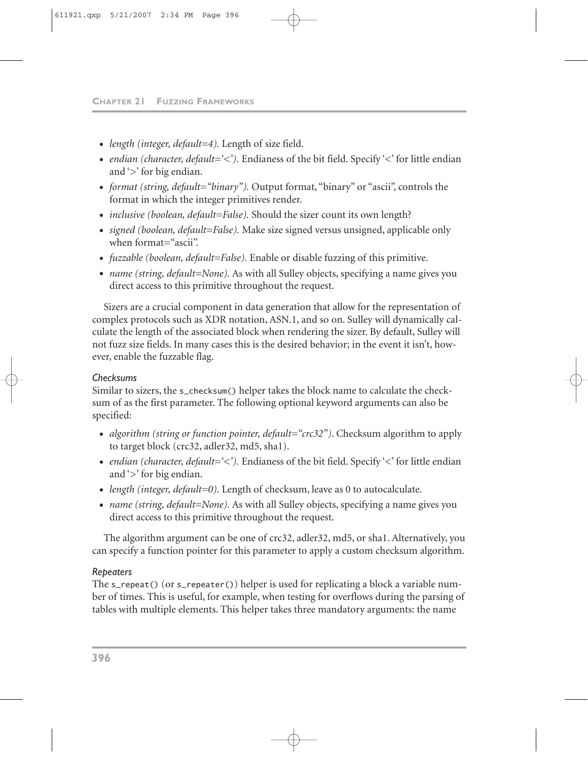- *length (integer, default=4).* Length of size field.
- *endian (character, default='<')*. Endianess of the bit field. Specify '<' for little endian and '>' for big endian.
- *format (string, default="binary")*. Output format, "binary" or "ascii", controls the format in which the integer primitives render.
- *inclusive (boolean, default=False).* Should the sizer count its own length?
- *signed (boolean, default=False).* Make size signed versus unsigned, applicable only when format="ascii".
- *fuzzable (boolean, default=False).* Enable or disable fuzzing of this primitive.
- *name (string, default=None).* As with all Sulley objects, specifying a name gives you direct access to this primitive throughout the request.

Sizers are a crucial component in data generation that allow for the representation of complex protocols such as XDR notation, ASN.1, and so on. Sulley will dynamically calculate the length of the associated block when rendering the sizer. By default, Sulley will not fuzz size fields. In many cases this is the desired behavior; in the event it isn't, however, enable the fuzzable flag.

#### *Checksums*

Similar to sizers, the s\_checksum() helper takes the block name to calculate the checksum of as the first parameter. The following optional keyword arguments can also be specified:

- *algorithm (string or function pointer, default="crc32")*. Checksum algorithm to apply to target block (crc32, adler32, md5, sha1).
- *endian (character, default='<')*. Endianess of the bit field. Specify '<' for little endian and '>' for big endian.
- *length (integer, default=0).* Length of checksum, leave as 0 to autocalculate.
- *name (string, default=None).* As with all Sulley objects, specifying a name gives you direct access to this primitive throughout the request.

The algorithm argument can be one of crc32, adler32, md5, or sha1. Alternatively, you can specify a function pointer for this parameter to apply a custom checksum algorithm.

#### *Repeaters*

The  $s$ -repeat() (or  $s$ -repeater()) helper is used for replicating a block a variable number of times. This is useful, for example, when testing for overflows during the parsing of tables with multiple elements. This helper takes three mandatory arguments: the name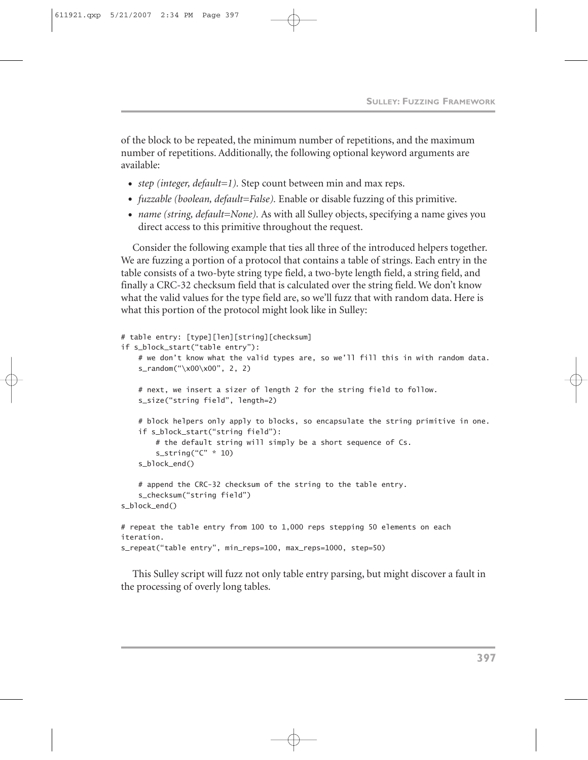of the block to be repeated, the minimum number of repetitions, and the maximum number of repetitions. Additionally, the following optional keyword arguments are available:

- *step (integer, default=1).* Step count between min and max reps.
- *fuzzable (boolean, default=False).* Enable or disable fuzzing of this primitive.
- *name (string, default=None).* As with all Sulley objects, specifying a name gives you direct access to this primitive throughout the request.

Consider the following example that ties all three of the introduced helpers together. We are fuzzing a portion of a protocol that contains a table of strings. Each entry in the table consists of a two-byte string type field, a two-byte length field, a string field, and finally a CRC-32 checksum field that is calculated over the string field. We don't know what the valid values for the type field are, so we'll fuzz that with random data. Here is what this portion of the protocol might look like in Sulley:

```
# table entry: [type][len][string][checksum]
if s_block_start("table entry"):
    # we don't know what the valid types are, so we'll fill this in with random data.
    s_random("\x00\x00", 2, 2)
    # next, we insert a sizer of length 2 for the string field to follow.
    s_size("string field", length=2)
    # block helpers only apply to blocks, so encapsulate the string primitive in one.
    if s_block_start("string field"):
        # the default string will simply be a short sequence of Cs.
        s_string("C" * 10)
    s_block_end()
    # append the CRC-32 checksum of the string to the table entry.
    s_checksum("string field")
s_block_end()
# repeat the table entry from 100 to 1,000 reps stepping 50 elements on each
iteration.
s_repeat("table entry", min_reps=100, max_reps=1000, step=50)
```
This Sulley script will fuzz not only table entry parsing, but might discover a fault in the processing of overly long tables.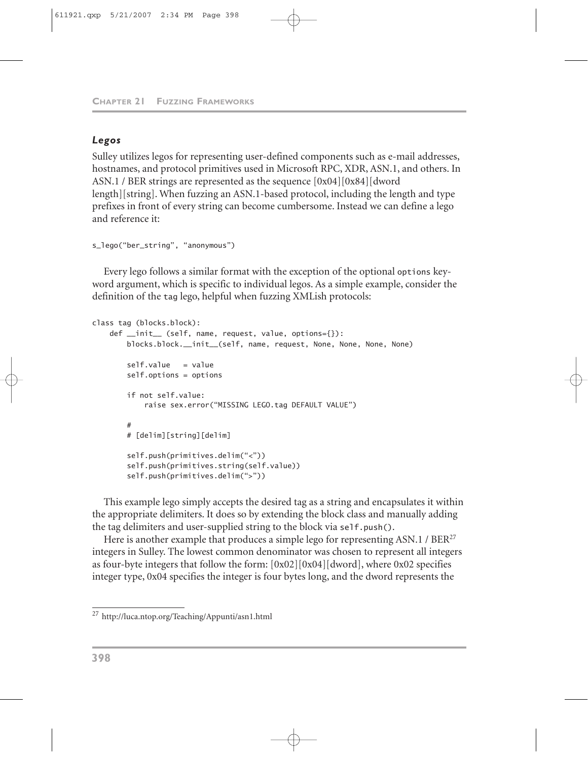## *Legos*

Sulley utilizes legos for representing user-defined components such as e-mail addresses, hostnames, and protocol primitives used in Microsoft RPC, XDR, ASN.1, and others. In ASN.1 / BER strings are represented as the sequence [0x04][0x84][dword length][string]. When fuzzing an ASN.1-based protocol, including the length and type prefixes in front of every string can become cumbersome. Instead we can define a lego and reference it:

```
s_lego("ber_string", "anonymous")
```
Every lego follows a similar format with the exception of the optional options keyword argument, which is specific to individual legos. As a simple example, consider the definition of the tag lego, helpful when fuzzing XMLish protocols:

```
class tag (blocks.block):
    def __init__ (self, name, request, value, options={}):
        blocks.block.__init__(self, name, request, None, None, None, None)
        self.value = valueself.options = options
        if not self.value:
            raise sex.error("MISSING LEGO.tag DEFAULT VALUE")
        # 
        # [delim][string][delim]
        self.push(primitives.delim("<"))
        self.push(primitives.string(self.value))
        self.push(primitives.delim(">"))
```
This example lego simply accepts the desired tag as a string and encapsulates it within the appropriate delimiters. It does so by extending the block class and manually adding the tag delimiters and user-supplied string to the block via self.push().

Here is another example that produces a simple lego for representing ASN.1 / BER<sup>27</sup> integers in Sulley. The lowest common denominator was chosen to represent all integers as four-byte integers that follow the form: [0x02][0x04][dword], where 0x02 specifies integer type, 0x04 specifies the integer is four bytes long, and the dword represents the

<sup>27</sup> http://luca.ntop.org/Teaching/Appunti/asn1.html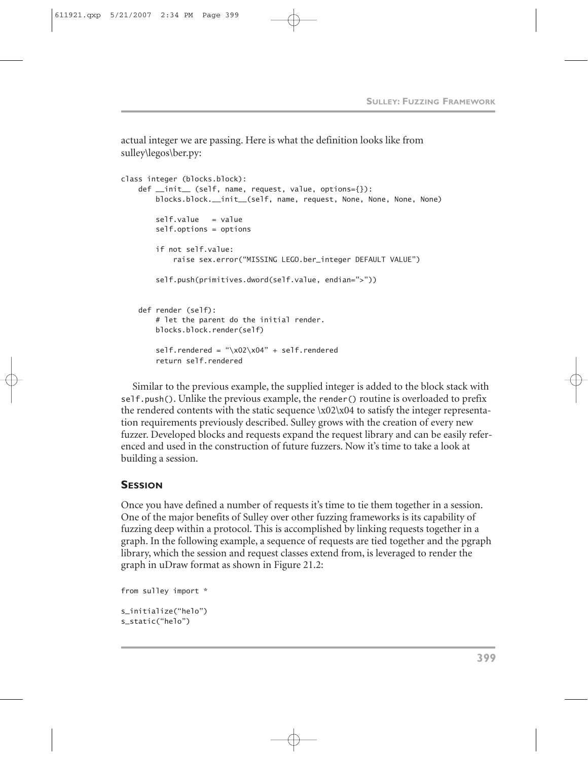actual integer we are passing. Here is what the definition looks like from sulley\legos\ber.py:

```
class integer (blocks.block):
    def __init__ (self, name, request, value, options={}):
        blocks.block.__init__(self, name, request, None, None, None, None)
        self.value = value
        self.options = options
        if not self.value:
            raise sex.error("MISSING LEGO.ber_integer DEFAULT VALUE")
        self.push(primitives.dword(self.value, endian=">"))
    def render (self):
        # let the parent do the initial render.
        blocks.block.render(self)
        self.rendered = "x02 \x04" + self. renderedreturn self.rendered
```
Similar to the previous example, the supplied integer is added to the block stack with self.push(). Unlike the previous example, the render() routine is overloaded to prefix the rendered contents with the static sequence  $\x02\x04$  to satisfy the integer representation requirements previously described. Sulley grows with the creation of every new fuzzer. Developed blocks and requests expand the request library and can be easily referenced and used in the construction of future fuzzers. Now it's time to take a look at building a session.

## **SESSION**

Once you have defined a number of requests it's time to tie them together in a session. One of the major benefits of Sulley over other fuzzing frameworks is its capability of fuzzing deep within a protocol. This is accomplished by linking requests together in a graph. In the following example, a sequence of requests are tied together and the pgraph library, which the session and request classes extend from, is leveraged to render the graph in uDraw format as shown in Figure 21.2:

```
from sulley import *
s_initialize("helo")
s_static("helo")
```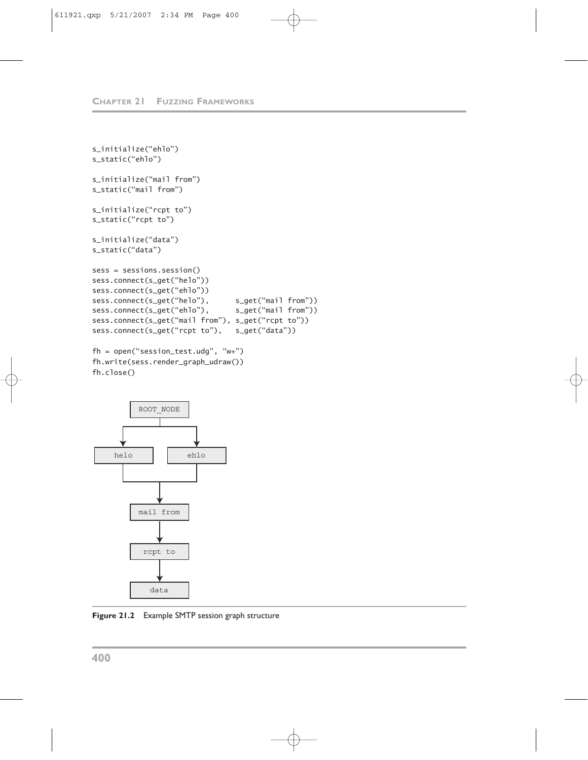```
s_initialize("ehlo")
s_static("ehlo")
s_initialize("mail from")
s_static("mail from")
s_initialize("rcpt to")
s_static("rcpt to")
s_initialize("data")
s_static("data")
sess = sessions.session()
sess.connect(s_get("helo"))
sess.connect(s_get("ehlo"))
sess.connect(s_get("helo"), s_get("mail from"))
sess.connect(s_get("ehlo"), s_get("mail from"))
sess.connect(s_get("mail from"), s_get("rcpt to"))
sess.connect(s_get("rcpt to"), s_get("data"))
fh = open("session_test.udg", "w+")
fh.write(sess.render_graph_udraw())
```

```
fh.close()
```


**Figure 21.2** Example SMTP session graph structure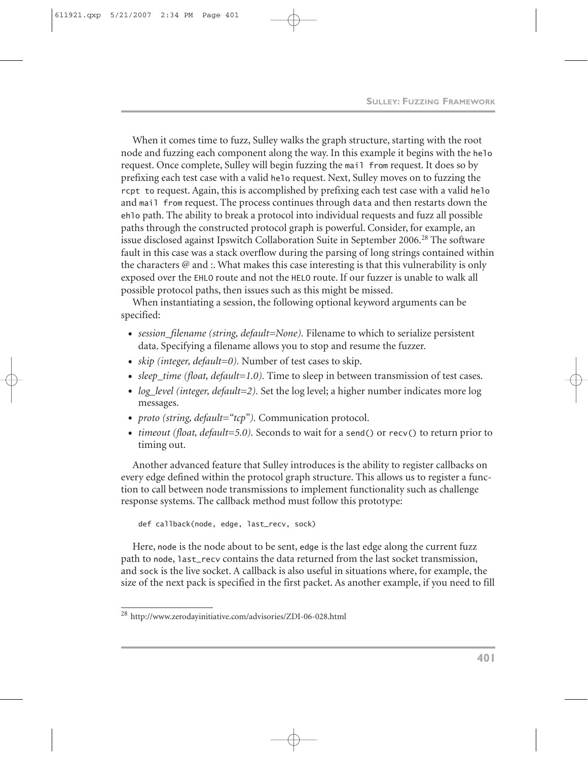When it comes time to fuzz, Sulley walks the graph structure, starting with the root node and fuzzing each component along the way. In this example it begins with the helo request. Once complete, Sulley will begin fuzzing the mail from request. It does so by prefixing each test case with a valid helo request. Next, Sulley moves on to fuzzing the rcpt to request. Again, this is accomplished by prefixing each test case with a valid helo and mail from request. The process continues through data and then restarts down the ehlo path. The ability to break a protocol into individual requests and fuzz all possible paths through the constructed protocol graph is powerful. Consider, for example, an issue disclosed against Ipswitch Collaboration Suite in September 2006.<sup>28</sup> The software fault in this case was a stack overflow during the parsing of long strings contained within the characters @ and :. What makes this case interesting is that this vulnerability is only exposed over the EHLO route and not the HELO route. If our fuzzer is unable to walk all possible protocol paths, then issues such as this might be missed.

When instantiating a session, the following optional keyword arguments can be specified:

- *session\_filename (string, default=None).* Filename to which to serialize persistent data. Specifying a filename allows you to stop and resume the fuzzer.
- *skip (integer, default=0).* Number of test cases to skip.
- *sleep\_time (float, default=1.0).* Time to sleep in between transmission of test cases.
- *log\_level (integer, default=2).* Set the log level; a higher number indicates more log messages.
- *proto (string, default="tcp").* Communication protocol.
- *timeout (float, default=5.0).* Seconds to wait for a send() or recv() to return prior to timing out.

Another advanced feature that Sulley introduces is the ability to register callbacks on every edge defined within the protocol graph structure. This allows us to register a function to call between node transmissions to implement functionality such as challenge response systems. The callback method must follow this prototype:

```
def callback(node, edge, last_recv, sock)
```
Here, node is the node about to be sent, edge is the last edge along the current fuzz path to node, last\_recv contains the data returned from the last socket transmission, and sock is the live socket. A callback is also useful in situations where, for example, the size of the next pack is specified in the first packet. As another example, if you need to fill

<sup>28</sup> http://www.zerodayinitiative.com/advisories/ZDI-06-028.html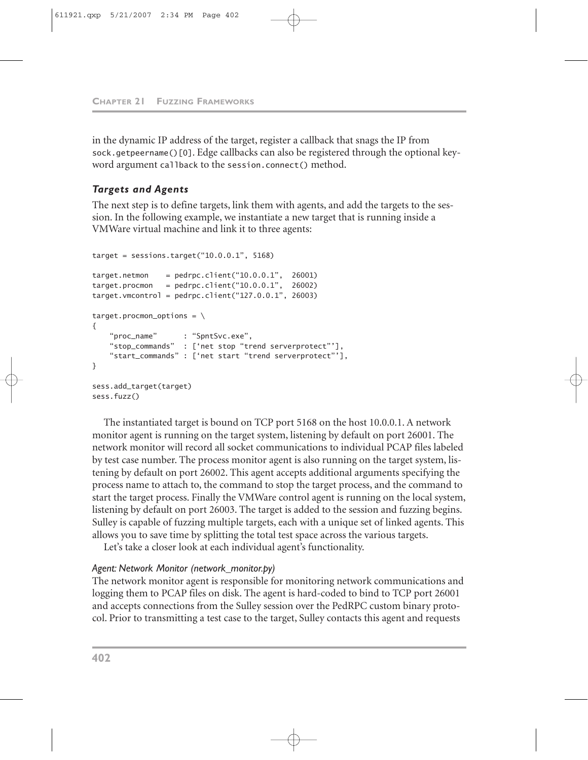in the dynamic IP address of the target, register a callback that snags the IP from sock.getpeername()[0]. Edge callbacks can also be registered through the optional keyword argument callback to the session.connect() method.

## *Targets and Agents*

The next step is to define targets, link them with agents, and add the targets to the session. In the following example, we instantiate a new target that is running inside a VMWare virtual machine and link it to three agents:

```
target = sessions.target("10.0.0.1", 5168)
target.net = pedrpc.client("10.0.0.1", 26001)
target.proom = pedrpc. client("10.0.0.1", 26002)target.vmcontrol = pedrpc.client("127.0.0.1", 26003)target.procmon_options = \setminus{
    "proc_name" : "SpntSvc.exe",
    "stop_commands" : ['net stop "trend serverprotect"'],
   "start_commands" : ['net start "trend serverprotect"'],
}
sess.add_target(target)
sess.fuzz()
```
The instantiated target is bound on TCP port 5168 on the host 10.0.0.1. A network monitor agent is running on the target system, listening by default on port 26001. The network monitor will record all socket communications to individual PCAP files labeled by test case number. The process monitor agent is also running on the target system, listening by default on port 26002. This agent accepts additional arguments specifying the process name to attach to, the command to stop the target process, and the command to start the target process. Finally the VMWare control agent is running on the local system, listening by default on port 26003. The target is added to the session and fuzzing begins. Sulley is capable of fuzzing multiple targets, each with a unique set of linked agents. This allows you to save time by splitting the total test space across the various targets.

Let's take a closer look at each individual agent's functionality.

#### *Agent: Network Monitor (network\_monitor.py)*

The network monitor agent is responsible for monitoring network communications and logging them to PCAP files on disk. The agent is hard-coded to bind to TCP port 26001 and accepts connections from the Sulley session over the PedRPC custom binary protocol. Prior to transmitting a test case to the target, Sulley contacts this agent and requests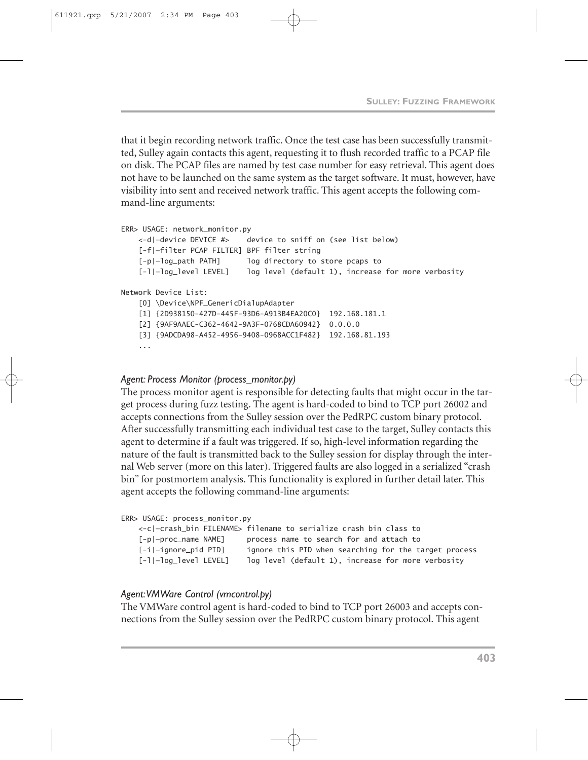that it begin recording network traffic. Once the test case has been successfully transmitted, Sulley again contacts this agent, requesting it to flush recorded traffic to a PCAP file on disk. The PCAP files are named by test case number for easy retrieval. This agent does not have to be launched on the same system as the target software. It must, however, have visibility into sent and received network traffic. This agent accepts the following command-line arguments:

```
ERR> USAGE: network_monitor.py
    <-d|—device DEVICE #> device to sniff on (see list below)
    [-f|—filter PCAP FILTER] BPF filter string
    [-p|—log_path PATH] log directory to store pcaps to
    [-1|-log_level LEVEL] log level (default 1), increase for more verbosity
Network Device List:
    [0] \Device\NPF_GenericDialupAdapter
    [1] {2D938150-427D-445F-93D6-A913B4EA20C0} 192.168.181.1
    [2] {9AF9AAEC-C362-4642-9A3F-0768CDA60942} 0.0.0.0
    [3] {9ADCDA98-A452-4956-9408-0968ACC1F482} 192.168.81.193
    ...
```
#### *Agent: Process Monitor (process\_monitor.py)*

The process monitor agent is responsible for detecting faults that might occur in the target process during fuzz testing. The agent is hard-coded to bind to TCP port 26002 and accepts connections from the Sulley session over the PedRPC custom binary protocol. After successfully transmitting each individual test case to the target, Sulley contacts this agent to determine if a fault was triggered. If so, high-level information regarding the nature of the fault is transmitted back to the Sulley session for display through the internal Web server (more on this later). Triggered faults are also logged in a serialized "crash bin" for postmortem analysis. This functionality is explored in further detail later. This agent accepts the following command-line arguments:

```
ERR> USAGE: process_monitor.py
     <-c|—crash_bin FILENAME> filename to serialize crash bin class to
     [-p|—proc_name NAME] process name to search for and attach to
    [-i|-ignore_pid PID] ignore this PID when searching for the target process<br>[-l|-log_level LEVEL] log level (default 1), increase for more verbosity
                                  log level (default 1), increase for more verbosity
```
#### *Agent:VMWare Control (vmcontrol.py)*

The VMWare control agent is hard-coded to bind to TCP port 26003 and accepts connections from the Sulley session over the PedRPC custom binary protocol. This agent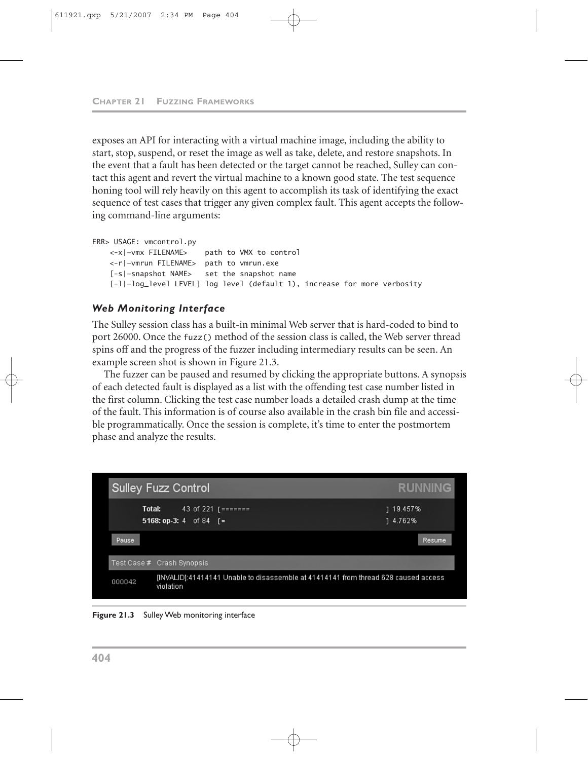exposes an API for interacting with a virtual machine image, including the ability to start, stop, suspend, or reset the image as well as take, delete, and restore snapshots. In the event that a fault has been detected or the target cannot be reached, Sulley can contact this agent and revert the virtual machine to a known good state. The test sequence honing tool will rely heavily on this agent to accomplish its task of identifying the exact sequence of test cases that trigger any given complex fault. This agent accepts the following command-line arguments:

```
ERR> USAGE: vmcontrol.py
   <-x|—vmx FILENAME> path to VMX to control
   <-r|—vmrun FILENAME> path to vmrun.exe
    [-s|—snapshot NAME> set the snapshot name
    [-1|-log_level LEVEL] log level (default 1), increase for more verbosity
```
## *Web Monitoring Interface*

The Sulley session class has a built-in minimal Web server that is hard-coded to bind to port 26000. Once the fuzz() method of the session class is called, the Web server thread spins off and the progress of the fuzzer including intermediary results can be seen. An example screen shot is shown in Figure 21.3.

The fuzzer can be paused and resumed by clicking the appropriate buttons. A synopsis of each detected fault is displayed as a list with the offending test case number listed in the first column. Clicking the test case number loads a detailed crash dump at the time of the fault. This information is of course also available in the crash bin file and accessible programmatically. Once the session is complete, it's time to enter the postmortem phase and analyze the results.



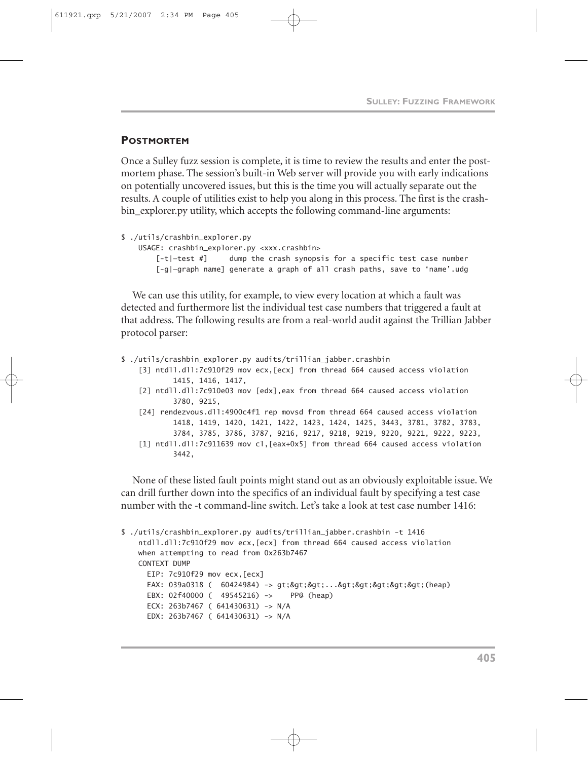## **POSTMORTEM**

Once a Sulley fuzz session is complete, it is time to review the results and enter the postmortem phase. The session's built-in Web server will provide you with early indications on potentially uncovered issues, but this is the time you will actually separate out the results. A couple of utilities exist to help you along in this process. The first is the crashbin\_explorer.py utility, which accepts the following command-line arguments:

```
$ ./utils/crashbin_explorer.py
    USAGE: crashbin_explorer.py <xxx.crashbin>
        [-t|-test #] dump the crash synopsis for a specific test case number
        [-g|—graph name] generate a graph of all crash paths, save to 'name'.udg
```
We can use this utility, for example, to view every location at which a fault was detected and furthermore list the individual test case numbers that triggered a fault at that address. The following results are from a real-world audit against the Trillian Jabber protocol parser:

```
$ ./utils/crashbin_explorer.py audits/trillian_jabber.crashbin
    [3] ntdll.dll:7c910f29 mov ecx,[ecx] from thread 664 caused access violation
            1415, 1416, 1417,
    [2] ntdll.dll:7c910e03 mov [edx],eax from thread 664 caused access violation
            3780, 9215,
    [24] rendezvous.dll:4900c4f1 rep movsd from thread 664 caused access violation
            1418, 1419, 1420, 1421, 1422, 1423, 1424, 1425, 3443, 3781, 3782, 3783, 
            3784, 3785, 3786, 3787, 9216, 9217, 9218, 9219, 9220, 9221, 9222, 9223,
    [1] ntdll.dll:7c911639 mov cl,[eax+0x5] from thread 664 caused access violation
            3442,
```
None of these listed fault points might stand out as an obviously exploitable issue. We can drill further down into the specifics of an individual fault by specifying a test case number with the -t command-line switch. Let's take a look at test case number 1416:

```
$ ./utils/crashbin_explorer.py audits/trillian_jabber.crashbin -t 1416
   ntdll.dll:7c910f29 mov ecx,[ecx] from thread 664 caused access violation
   when attempting to read from 0x263b7467
   CONTEXT DUMP
     EIP: 7c910f29 mov ecx,[ecx]
     EAX: 039a0318 ( 60424984) -> gt;>>...>>>>>(heap)
     EBX: 02f40000 ( 49545216) -> PP@ (heap)
     ECX: 263b7467 ( 641430631) -> N/A
     EDX: 263b7467 ( 641430631) -> N/A
```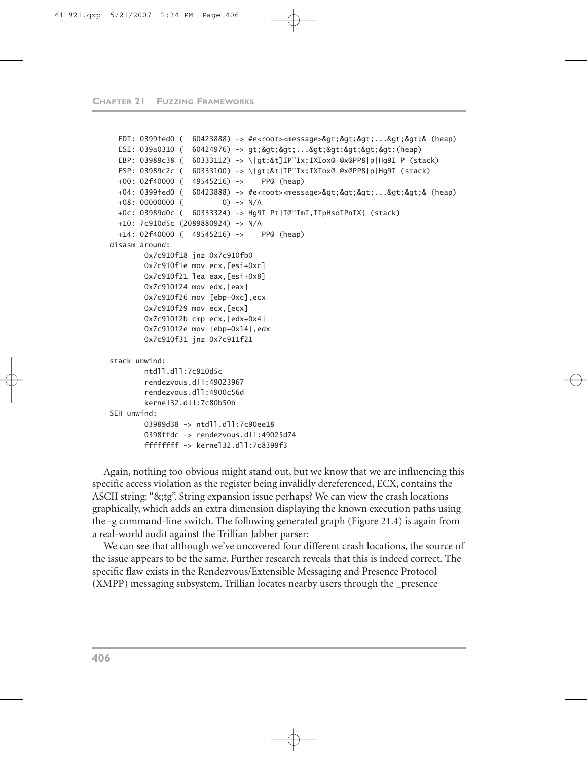```
EDI: 0399fed0 ( 60423888) -> \#e<root><message>&qt;&qt;&qt;...&qt;&qt;& (heap)
 ESI: 039a0310 ( 60424976) -> gt;>>...>>>>>(heap)
 EBP: 03989c38 ( 60333112) -> \|gt;&t]IP"Ix;IXIox@ @x@PP8|p|Hg9I P (stack)
 ESP: 03989c2c ( 60333100) -> \|gt;&t]IP"Ix;IXIox@ @x@PP8|p|Hg9I (stack)
 +00: 02f40000 ( 49545216) -> PP@ (heap)
 +04: 0399fed0 ( 60423888) -> #e<root><message>&gt;&gt;&gt;...&gt;&gt;& (heap)
 +08: 00000000 ( 0) \rightarrow N/A
 +0c: 03989d0c ( 60333324) -> Hg9I Pt]I@"ImI,IIpHsoIPnIX{ (stack)
 +10: 7c910d5c (2089880924) -> N/A
 +14: 02f40000 ( 49545216) -> PP@ (heap)
disasm around:
       0x7c910f18 jnz 0x7c910fb0
       0x7c910f1e mov ecx,[esi+0xc]
       0x7c910f21 lea eax,[esi+0x8]
       0x7c910f24 mov edx,[eax]
       0x7c910f26 mov [ebp+0xc],ecx
       0x7c910f29 mov ecx,[ecx]
       0x7c910f2b cmp ecx,[edx+0x4]
       0x7c910f2e mov [ebp+0x14],edx
       0x7c910f31 jnz 0x7c911f21
stack unwind:
       ntdll.dll:7c910d5c
       rendezvous.dll:49023967
       rendezvous.dll:4900c56d
       kernel32.dll:7c80b50b
SEH unwind:
       03989d38 -> ntdll.dll:7c90ee18
       0398ffdc -> rendezvous.dll:49025d74
       ffffffff -> kernel32 dll:7c8399f3
```
Again, nothing too obvious might stand out, but we know that we are influencing this specific access violation as the register being invalidly dereferenced, ECX, contains the ASCII string: "&;tg". String expansion issue perhaps? We can view the crash locations graphically, which adds an extra dimension displaying the known execution paths using the -g command-line switch. The following generated graph (Figure 21.4) is again from a real-world audit against the Trillian Jabber parser:

We can see that although we've uncovered four different crash locations, the source of the issue appears to be the same. Further research reveals that this is indeed correct. The specific flaw exists in the Rendezvous/Extensible Messaging and Presence Protocol (XMPP) messaging subsystem. Trillian locates nearby users through the \_presence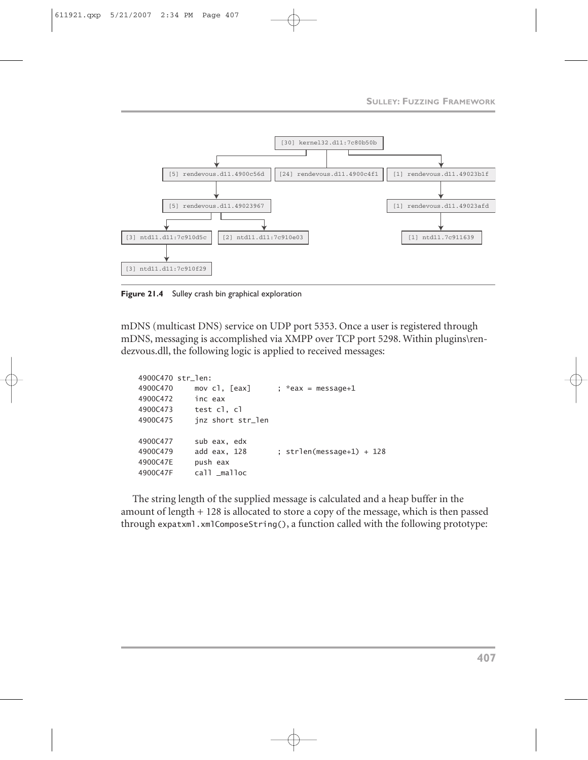

**Figure 21.4** Sulley crash bin graphical exploration

mDNS (multicast DNS) service on UDP port 5353. Once a user is registered through mDNS, messaging is accomplished via XMPP over TCP port 5298. Within plugins\rendezvous.dll, the following logic is applied to received messages:

```
4900C470 str_len:
4900C470 mov cl, [eax] ; *eax = message+1
4900C472 inc eax
4900C473 test cl, cl
4900C475 jnz short str_len
4900C477 sub eax, edx
4900C479 add eax, 128 ; strlen(message+1) + 128
4900C47E push eax
4900C47F call _malloc
```
The string length of the supplied message is calculated and a heap buffer in the amount of length + 128 is allocated to store a copy of the message, which is then passed through expatxml.xmlComposeString(), a function called with the following prototype: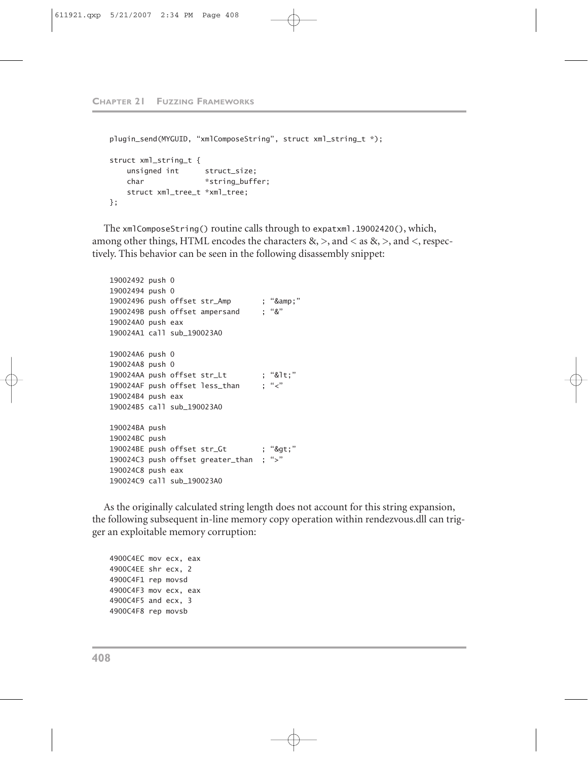```
plugin_send(MYGUID, "xmlComposeString", struct xml_string_t *);
struct xml_string_t {
   unsigned int struct_size;
   char *string_buffer;
   struct xml_tree_t *xml_tree;
};
```
The xmlComposeString() routine calls through to expatxml.19002420(), which, among other things, HTML encodes the characters  $\&$ ,  $>$ , and  $\&$  as  $\&$ ,  $>$ , and  $\&$ , respectively. This behavior can be seen in the following disassembly snippet:

```
19002492 push 0
19002494 push 0
19002496 push offset str_Amp : "&"
1900249B push offset ampersand ; "&"
190024A0 push eax
190024A1 call sub_190023A0
190024A6 push 0
190024A8 push 0
190024AA push offset str_Lt ; "<"
190024AF push offset less_than ; "<"
190024B4 push eax
190024B5 call sub_190023A0
190024BA push
190024BC push
190024BE push offset str_Gt ; ">"
190024C3 push offset greater_than ; ">"
190024C8 push eax
190024C9 call sub_190023A0
```
As the originally calculated string length does not account for this string expansion, the following subsequent in-line memory copy operation within rendezvous.dll can trigger an exploitable memory corruption:

```
4900C4EC mov ecx, eax
4900C4EE shr ecx, 2
4900C4F1 rep movsd
4900C4F3 mov ecx, eax
4900C4F5 and ecx, 3
4900C4F8 rep movsb
```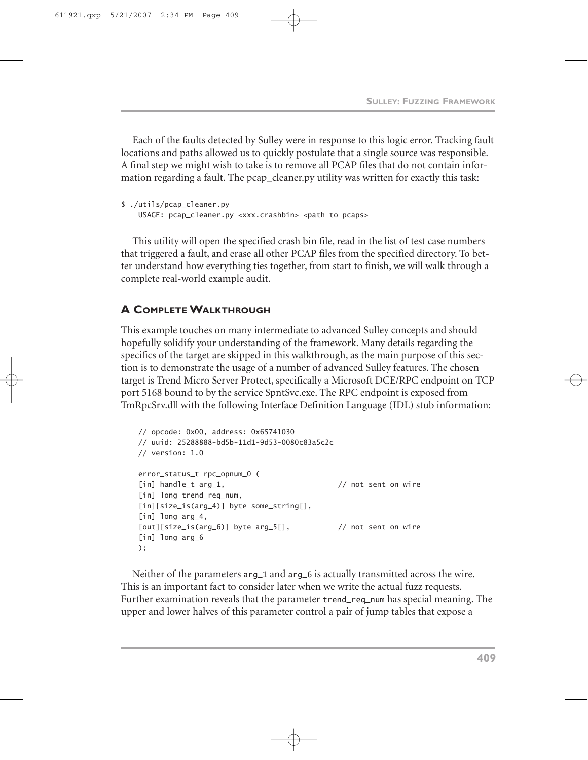Each of the faults detected by Sulley were in response to this logic error. Tracking fault locations and paths allowed us to quickly postulate that a single source was responsible. A final step we might wish to take is to remove all PCAP files that do not contain information regarding a fault. The pcap\_cleaner.py utility was written for exactly this task:

```
$ ./utils/pcap_cleaner.py
    USAGE: pcap_cleaner.py <xxx.crashbin> <path to pcaps>
```
This utility will open the specified crash bin file, read in the list of test case numbers that triggered a fault, and erase all other PCAP files from the specified directory. To better understand how everything ties together, from start to finish, we will walk through a complete real-world example audit.

## **A COMPLETE WALKTHROUGH**

This example touches on many intermediate to advanced Sulley concepts and should hopefully solidify your understanding of the framework. Many details regarding the specifics of the target are skipped in this walkthrough, as the main purpose of this section is to demonstrate the usage of a number of advanced Sulley features. The chosen target is Trend Micro Server Protect, specifically a Microsoft DCE/RPC endpoint on TCP port 5168 bound to by the service SpntSvc.exe. The RPC endpoint is exposed from TmRpcSrv.dll with the following Interface Definition Language (IDL) stub information:

```
// opcode: 0x00, address: 0x65741030
// uuid: 25288888-bd5b-11d1-9d53-0080c83a5c2c
// version: 1.0
error_status_t rpc_opnum_0 (
[in] handle_t arg_1, \frac{1}{2} // not sent on wire
[in] long trend_req_num,
[in][size_is(arg_4)] byte some_string[],
[in] long arg_4,
[out][size_is(arg_6)] byte arg_5[], // not sent on wire
[in] long arg_6
);
```
Neither of the parameters arg\_1 and arg\_6 is actually transmitted across the wire. This is an important fact to consider later when we write the actual fuzz requests. Further examination reveals that the parameter trend\_req\_num has special meaning. The upper and lower halves of this parameter control a pair of jump tables that expose a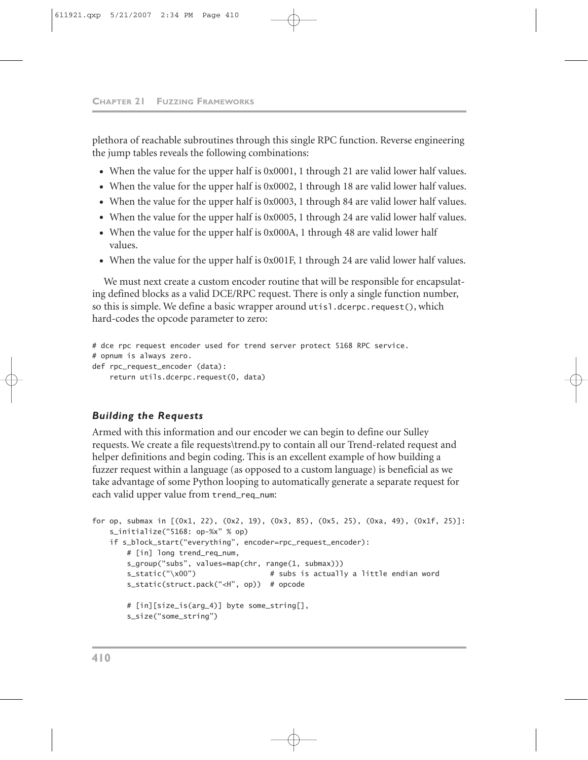plethora of reachable subroutines through this single RPC function. Reverse engineering the jump tables reveals the following combinations:

- When the value for the upper half is 0x0001, 1 through 21 are valid lower half values.
- When the value for the upper half is 0x0002, 1 through 18 are valid lower half values.
- When the value for the upper half is 0x0003, 1 through 84 are valid lower half values.
- When the value for the upper half is 0x0005, 1 through 24 are valid lower half values.
- When the value for the upper half is 0x000A, 1 through 48 are valid lower half values.
- When the value for the upper half is 0x001F, 1 through 24 are valid lower half values.

We must next create a custom encoder routine that will be responsible for encapsulating defined blocks as a valid DCE/RPC request. There is only a single function number, so this is simple. We define a basic wrapper around utisl.dcerpc.request(), which hard-codes the opcode parameter to zero:

```
# dce rpc request encoder used for trend server protect 5168 RPC service.
# opnum is always zero.
def rpc_request_encoder (data):
    return utils.dcerpc.request(0, data)
```
## *Building the Requests*

Armed with this information and our encoder we can begin to define our Sulley requests. We create a file requests\trend.py to contain all our Trend-related request and helper definitions and begin coding. This is an excellent example of how building a fuzzer request within a language (as opposed to a custom language) is beneficial as we take advantage of some Python looping to automatically generate a separate request for each valid upper value from trend\_req\_num:

```
for op, submax in [(0x1, 22), (0x2, 19), (0x3, 85), (0x5, 25), (0xa, 49), (0x1f, 25)]:
    s_initialize("5168: op-%x" % op)
    if s_block_start("everything", encoder=rpc_request_encoder):
        # [in] long trend_req_num,
        s_group("subs", values=map(chr, range(1, submax)))
        s_static("\x00") \qquad \qquad \qquad # subs is actually a little endian word
        s_static(struct.pack("<H", op)) # opcode
        # [in][size_is(arg_4)] byte some_string[],
        s_size("some_string")
```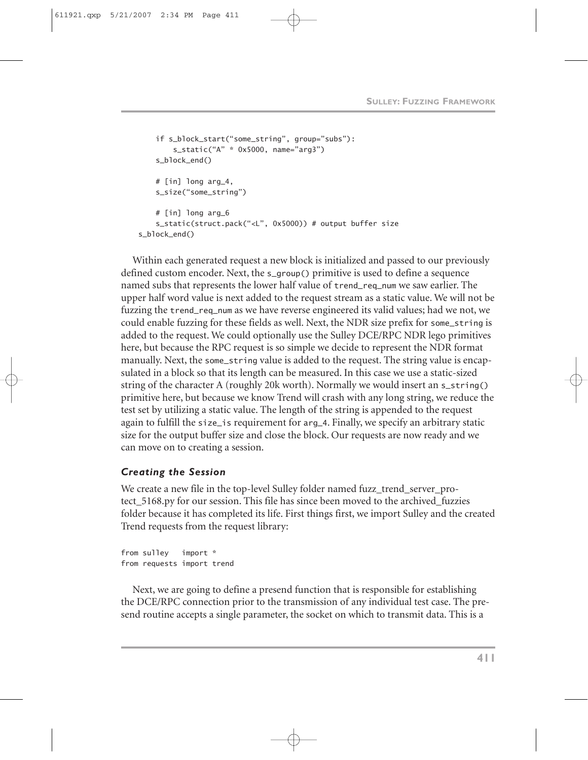```
if s_block_start("some_string", group="subs"):
        s_static("A" * 0x5000, name="arg3")
    s_block_end()
    # [in] long arg_4,
    s_size("some_string")
    # [in] long arg_6
    s_static(struct.pack("<L", 0x5000)) # output buffer size
s_block_end()
```
Within each generated request a new block is initialized and passed to our previously defined custom encoder. Next, the s\_group() primitive is used to define a sequence named subs that represents the lower half value of trend\_req\_num we saw earlier. The upper half word value is next added to the request stream as a static value. We will not be fuzzing the trend\_req\_num as we have reverse engineered its valid values; had we not, we could enable fuzzing for these fields as well. Next, the NDR size prefix for some\_string is added to the request. We could optionally use the Sulley DCE/RPC NDR lego primitives here, but because the RPC request is so simple we decide to represent the NDR format manually. Next, the some\_string value is added to the request. The string value is encapsulated in a block so that its length can be measured. In this case we use a static-sized string of the character A (roughly 20k worth). Normally we would insert an s\_string() primitive here, but because we know Trend will crash with any long string, we reduce the test set by utilizing a static value. The length of the string is appended to the request again to fulfill the size\_is requirement for arg\_4. Finally, we specify an arbitrary static size for the output buffer size and close the block. Our requests are now ready and we can move on to creating a session.

## *Creating the Session*

We create a new file in the top-level Sulley folder named fuzz\_trend\_server\_protect\_5168.py for our session. This file has since been moved to the archived\_fuzzies folder because it has completed its life. First things first, we import Sulley and the created Trend requests from the request library:

```
from sulley import *
from requests import trend
```
Next, we are going to define a presend function that is responsible for establishing the DCE/RPC connection prior to the transmission of any individual test case. The presend routine accepts a single parameter, the socket on which to transmit data. This is a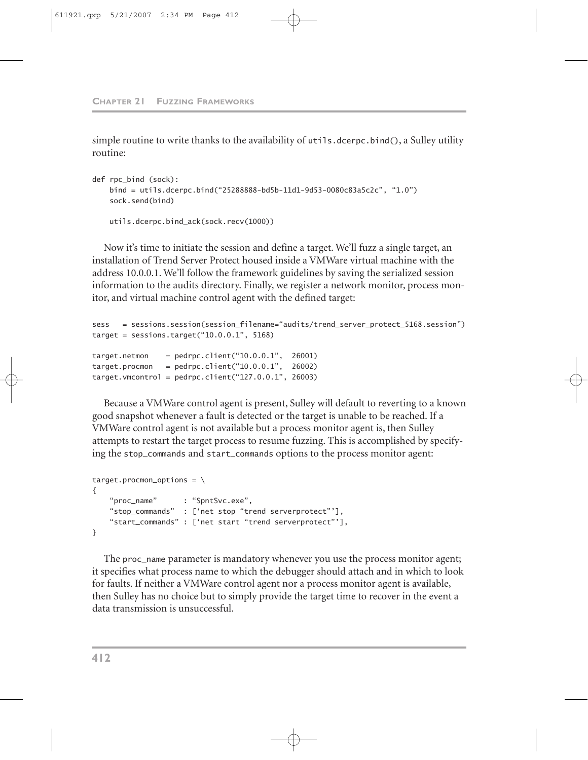simple routine to write thanks to the availability of utils.dcerpc.bind(), a Sulley utility routine:

```
def rpc_bind (sock):
    bind = utils.dcerpc.bind("25288888-bd5b-11d1-9d53-0080c83a5c2c", "1.0")
    sock.send(bind)
    utils.dcerpc.bind_ack(sock.recv(1000))
```
Now it's time to initiate the session and define a target. We'll fuzz a single target, an installation of Trend Server Protect housed inside a VMWare virtual machine with the address 10.0.0.1. We'll follow the framework guidelines by saving the serialized session information to the audits directory. Finally, we register a network monitor, process monitor, and virtual machine control agent with the defined target:

```
sess = sessions.session(session_filename="audits/trend_server_protect_5168.session")
target = sessions.target("10.0.0.1", 5168)
target.net mon = pedrpc.client("10.0.0.1", 26001)
target.proom = pedrpc. client("10.0.0.1", 26002)target.vmcontrol = pedrpc.client("127.0.0.1", 26003)
```
Because a VMWare control agent is present, Sulley will default to reverting to a known good snapshot whenever a fault is detected or the target is unable to be reached. If a VMWare control agent is not available but a process monitor agent is, then Sulley attempts to restart the target process to resume fuzzing. This is accomplished by specifying the stop\_commands and start\_commands options to the process monitor agent:

```
target.procmon_options = \setminus{
    "proc_name" : "SpntSvc.exe",
    "stop_commands" : ['net stop "trend serverprotect"'],
    "start_commands" : ['net start "trend serverprotect"'],
}
```
The proc\_name parameter is mandatory whenever you use the process monitor agent; it specifies what process name to which the debugger should attach and in which to look for faults. If neither a VMWare control agent nor a process monitor agent is available, then Sulley has no choice but to simply provide the target time to recover in the event a data transmission is unsuccessful.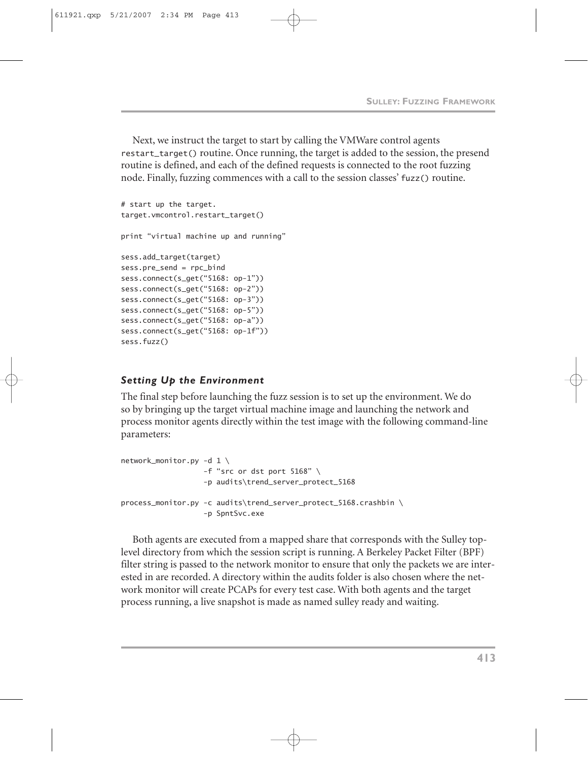Next, we instruct the target to start by calling the VMWare control agents restart\_target() routine. Once running, the target is added to the session, the presend routine is defined, and each of the defined requests is connected to the root fuzzing node. Finally, fuzzing commences with a call to the session classes' fuzz() routine.

```
# start up the target.
target.vmcontrol.restart_target()
print "virtual machine up and running"
sess.add_target(target)
sess.pre_send = rpc_bind
sess.connect(s_get("5168: op-1"))
sess.connect(s_get("5168: op-2"))
sess.connect(s_get("5168: op-3"))
sess.connect(s_get("5168: op-5"))
sess.connect(s_get("5168: op-a"))
sess.connect(s_get("5168: op-1f"))
sess.fuzz()
```
## *Setting Up the Environment*

The final step before launching the fuzz session is to set up the environment. We do so by bringing up the target virtual machine image and launching the network and process monitor agents directly within the test image with the following command-line parameters:

```
network_monitor.py -d 1 \setminus-f "src or dst port 5168" \
                    -p audits\trend_server_protect_5168
process_monitor.py -c audits\trend_server_protect_5168.crashbin \
                   -p SpntSvc.exe
```
Both agents are executed from a mapped share that corresponds with the Sulley toplevel directory from which the session script is running. A Berkeley Packet Filter (BPF) filter string is passed to the network monitor to ensure that only the packets we are interested in are recorded. A directory within the audits folder is also chosen where the network monitor will create PCAPs for every test case. With both agents and the target process running, a live snapshot is made as named sulley ready and waiting.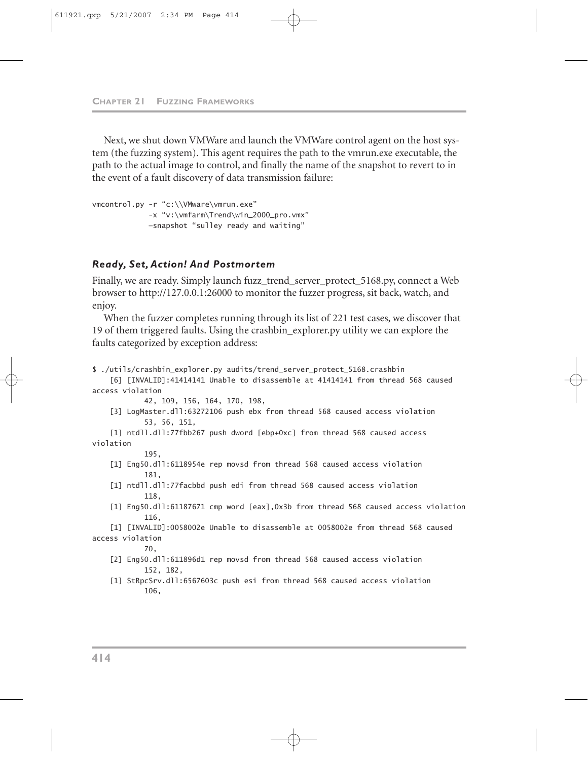Next, we shut down VMWare and launch the VMWare control agent on the host system (the fuzzing system). This agent requires the path to the vmrun.exe executable, the path to the actual image to control, and finally the name of the snapshot to revert to in the event of a fault discovery of data transmission failure:

```
vmcontrol.py -r "c:\\VMware\vmrun.exe"
             -x "v:\vmfarm\Trend\win_2000_pro.vmx"
             —snapshot "sulley ready and waiting"
```
#### *Ready, Set, Action! And Postmortem*

Finally, we are ready. Simply launch fuzz\_trend\_server\_protect\_5168.py, connect a Web browser to http://127.0.0.1:26000 to monitor the fuzzer progress, sit back, watch, and enjoy.

When the fuzzer completes running through its list of 221 test cases, we discover that 19 of them triggered faults. Using the crashbin\_explorer.py utility we can explore the faults categorized by exception address:

```
$ ./utils/crashbin_explorer.py audits/trend_server_protect_5168.crashbin
    [6] [INVALID]:41414141 Unable to disassemble at 41414141 from thread 568 caused
access violation
            42, 109, 156, 164, 170, 198,
    [3] LogMaster.dll:63272106 push ebx from thread 568 caused access violation
            53, 56, 151,
    [1] ntdll.dll:77fbb267 push dword [ebp+0xc] from thread 568 caused access
violation
            195,
    [1] Eng50.dll:6118954e rep movsd from thread 568 caused access violation
            181,
    [1] ntdll.dll:77facbbd push edi from thread 568 caused access violation
            118,
    [1] Eng50.dll:61187671 cmp word [eax],0x3b from thread 568 caused access violation
            116,
    [1] [INVALID]:0058002e Unable to disassemble at 0058002e from thread 568 caused
access violation
            70,
```
- [2] Eng50.dll:611896d1 rep movsd from thread 568 caused access violation 152, 182,
- [1] StRpcSrv.dll:6567603c push esi from thread 568 caused access violation 106,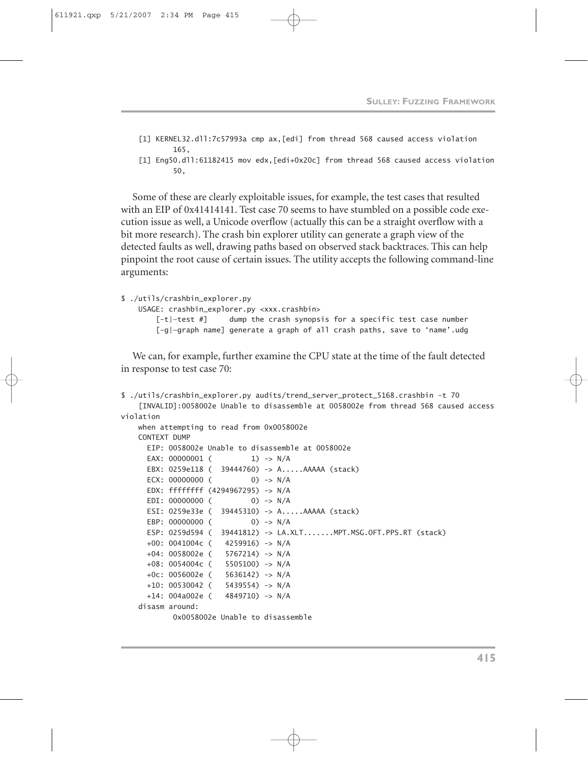- [1] KERNEL32.dll:7c57993a cmp ax,[edi] from thread 568 caused access violation 165,
- [1] Eng50.dll:61182415 mov edx,[edi+0x20c] from thread 568 caused access violation 50,

Some of these are clearly exploitable issues, for example, the test cases that resulted with an EIP of 0x41414141. Test case 70 seems to have stumbled on a possible code execution issue as well, a Unicode overflow (actually this can be a straight overflow with a bit more research). The crash bin explorer utility can generate a graph view of the detected faults as well, drawing paths based on observed stack backtraces. This can help pinpoint the root cause of certain issues. The utility accepts the following command-line arguments:

```
$ ./utils/crashbin_explorer.py
    USAGE: crashbin_explorer.py <xxx.crashbin>
        [-t|-test #] dump the crash synopsis for a specific test case number
        [-g|—graph name] generate a graph of all crash paths, save to 'name'.udg
```
We can, for example, further examine the CPU state at the time of the fault detected in response to test case 70:

```
$ ./utils/crashbin_explorer.py audits/trend_server_protect_5168.crashbin -t 70
    [INVALID]:0058002e Unable to disassemble at 0058002e from thread 568 caused access
violation
   when attempting to read from 0x0058002e
   CONTEXT DUMP
     EIP: 0058002e Unable to disassemble at 0058002e
     EAX: 00000001 ( 1) -> N/A
     EBX: 0259e118 ( 39444760) -> A.....AAAAA (stack)
     ECX: 00000000 ( 0) -> N/A
     EDX: ffffffff (4294967295) -> N/A
     EDI: 00000000 ( 0) -> N/A
     ESI: 0259e33e ( 39445310) -> A.....AAAAA (stack)
     EBP: 00000000 ( 0) -> N/A
     ESP: 0259d594 ( 39441812) -> LA.XLT.......MPT.MSG.OFT.PPS.RT (stack)
     +00: 0041004c ( 4259916) -> N/A
     +04: 0058002e ( 5767214) -> N/A
     +08: 0054004c ( 5505100) -> N/A
     +0c: 0056002e ( 5636142) -> N/A
     +10: 00530042 ( 5439554) -> N/A
     +14: 004a002e ( 4849710) -> N/A
   disasm around:
           0x0058002e Unable to disassemble
```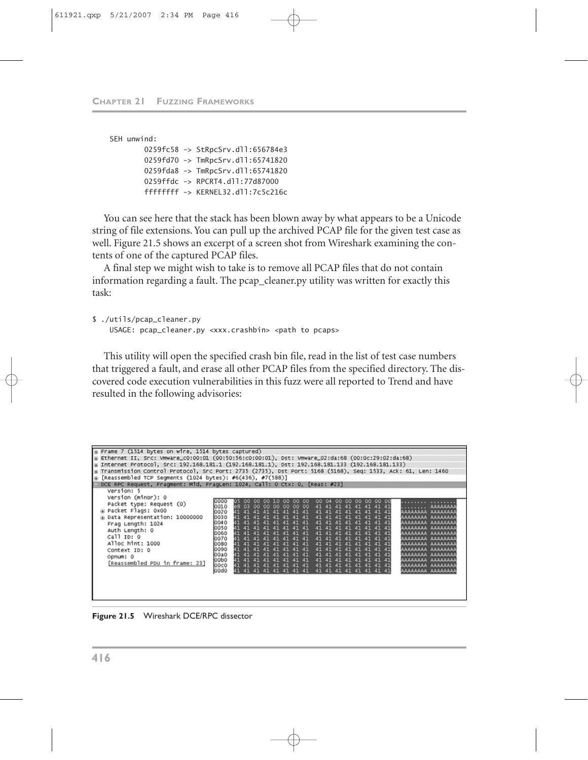SEH

| unwind: |                                    |
|---------|------------------------------------|
|         | 0259fc58 -> StRpcSrv.dll:656784e3  |
|         | 0259fd70 -> TmRpcSrv.dll:65741820  |
|         | 0259fda8 -> TmRpcSrv.dll:65741820  |
|         | 0259ffdc -> RPCRT4.dll:77d87000    |
|         | fffffffff -> KERNEL32.dll:7c5c216c |

You can see here that the stack has been blown away by what appears to be a Unicode string of file extensions. You can pull up the archived PCAP file for the given test case as well. Figure 21.5 shows an excerpt of a screen shot from Wireshark examining the contents of one of the captured PCAP files.

A final step we might wish to take is to remove all PCAP files that do not contain information regarding a fault. The pcap\_cleaner.py utility was written for exactly this task:

```
$ ./utils/pcap_cleaner.py
    USAGE: pcap_cleaner.py <xxx.crashbin> <path to pcaps>
```
This utility will open the specified crash bin file, read in the list of test case numbers that triggered a fault, and erase all other PCAP files from the specified directory. The discovered code execution vulnerabilities in this fuzz were all reported to Trend and have resulted in the following advisories:

| E Frame 7 (1514 bytes on wire, 1514 bytes captured)                                               |                                                                                                                                                          |  |  |  |  |
|---------------------------------------------------------------------------------------------------|----------------------------------------------------------------------------------------------------------------------------------------------------------|--|--|--|--|
| E Ethernet II, Src: Vmware_c0:00:01 (00:50:56:c0:00:01), Dst: Vmware_02:da:68 (00:0c:29:02:da:68) |                                                                                                                                                          |  |  |  |  |
|                                                                                                   | # Internet Protocol, Src: 192.168.181.1 (192.168.181.1), Dst: 192.168.181.133 (192.168.181.133)                                                          |  |  |  |  |
|                                                                                                   | + Transmission Control Protocol, Src Port: 2735 (2735), Dst Port: 5168 (5168), Seq: 1533, Ack: 61, Len: 1460                                             |  |  |  |  |
|                                                                                                   | E [Reassembled TCP Seqments (1024 bytes): #6(436), #7(588)]                                                                                              |  |  |  |  |
|                                                                                                   | DCE RPC Request, Fragment: Mid, FragLen: 1024, Call: 0 Ctx: 0, [Reas: #23]                                                                               |  |  |  |  |
| Version: 5                                                                                        |                                                                                                                                                          |  |  |  |  |
| Version (minor): 0                                                                                |                                                                                                                                                          |  |  |  |  |
| Packet type: Request (0)                                                                          | 0000<br>00 00<br>00 00 00 00 00<br>10<br>00<br>00<br><b>OO</b><br>0010<br>e8 03<br>41 41 41 41 41 41 41 41<br>00 00 00 00 00 00<br>AAAAAAA               |  |  |  |  |
| Packet Flags: 0x00                                                                                | 0020<br>41.41<br>41 41 41 41 41 41 41 41<br>41<br>41 41 41 41 41<br>AAAAAAAA<br>AAAAAAAA                                                                 |  |  |  |  |
| Data Representation: 10000000                                                                     | 41 41 41 41 41 41 41 41<br>0030<br>41 41<br>41 41 41 41 41<br>41<br>AAAAAAAA<br>AAAAAAA                                                                  |  |  |  |  |
| Frag Length: 1024                                                                                 | 0040<br>41 41 41 41 41<br>41 41 41 41 41 41<br>心<br>41<br>41<br>41<br><b>AAAAAAA</b><br>AAAAAAAA                                                         |  |  |  |  |
| Auth Length: 0                                                                                    | 0050<br>41 41<br>41 41 41 41 41 41<br>41 41 41 41 41 41 41 41<br>AAAAAAAA<br>AAAAAAAA                                                                    |  |  |  |  |
| call ID: 0                                                                                        | 0060<br>41 41 41 41 41 41<br>41 41 41 41 41<br>41.<br>41<br>41 41<br>aaaaaaaa aaaaaaaa                                                                   |  |  |  |  |
| Alloc hint: 1000                                                                                  | 0070<br>41 41 41 41 41 41<br>41<br>41<br>41 41 41 41 41<br>4141<br>AAAAAAAA<br>AAAAAAAA<br>л                                                             |  |  |  |  |
|                                                                                                   | 0080<br>41 41 41 41 41<br>41 41 41 41<br>41<br>41<br>AAAAAAAA<br>AAAAAAAA<br>0090<br>41 41 41 41 41<br>41 41<br>41 41<br>41<br>4141<br>aaaaaaaa aaaaaaaa |  |  |  |  |
| Context ID: 0                                                                                     | 41<br>00a0<br>41<br>41 41 41 41<br>41<br>41<br>41<br>AAAAAAAA<br>AAAAAAAA                                                                                |  |  |  |  |
| Opnum: 0                                                                                          | $41$ $41$ $41$ $41$<br>41 41 41 41<br>loobo<br>41<br>41<br>41<br>aaaaaaaa aaaaaaaa                                                                       |  |  |  |  |
| [Reassembled PDU in frame: 23]                                                                    | 00c0<br>41 41 41 41 41<br>41.<br>41<br>41 41 41<br>41<br>41<br>41<br>AAAAAAAA AAAAAAAA                                                                   |  |  |  |  |
|                                                                                                   | 41 41 41 41 41 41 41 41<br>41 41 41 41 41 41 41 41<br>oodo<br>AAAAAAAA AAAAAAAA                                                                          |  |  |  |  |
|                                                                                                   |                                                                                                                                                          |  |  |  |  |
|                                                                                                   |                                                                                                                                                          |  |  |  |  |
|                                                                                                   |                                                                                                                                                          |  |  |  |  |
|                                                                                                   |                                                                                                                                                          |  |  |  |  |
|                                                                                                   |                                                                                                                                                          |  |  |  |  |

**Figure 21.5** Wireshark DCE/RPC dissector